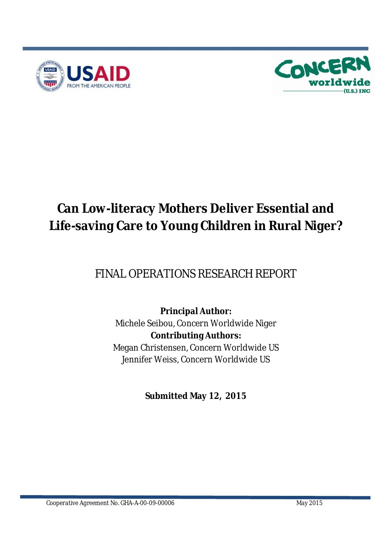



# **Can Low-literacy Mothers Deliver Essential and Life-saving Care to Young Children in Rural Niger?**

# FINAL OPERATIONS RESEARCH REPORT

### **Principal Author:** Michele Seibou, Concern Worldwide Niger **Contributing Authors:** Megan Christensen, Concern Worldwide US Jennifer Weiss, Concern Worldwide US

**Submitted May 12, 2015**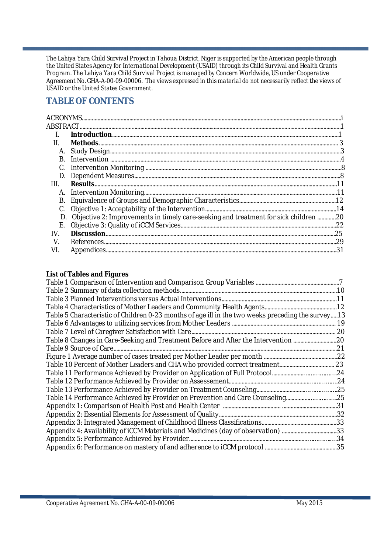*The Lahiya Yara Child Survival Project in Tahoua District, Niger is supported by the American people through the United States Agency for International Development (USAID) through its Child Survival and Health Grants Program. The Lahiya Yara Child Survival Project is managed by Concern Worldwide, US under Cooperative Agreement No. GHA-A-00-09-00006. The views expressed in this material do not necessarily reflect the views of USAID or the United States Government.*

### **TABLE OF CONTENTS**

| А.                                                                                  |  |
|-------------------------------------------------------------------------------------|--|
|                                                                                     |  |
|                                                                                     |  |
|                                                                                     |  |
|                                                                                     |  |
|                                                                                     |  |
|                                                                                     |  |
|                                                                                     |  |
| Objective 2: Improvements in timely care-seeking and treatment for sick children 20 |  |
|                                                                                     |  |
|                                                                                     |  |
|                                                                                     |  |
|                                                                                     |  |
|                                                                                     |  |

#### **List of Tables and Figures**

| Table 5 Characteristic of Children 0-23 months of age ill in the two weeks preceding the survey13 |  |
|---------------------------------------------------------------------------------------------------|--|
|                                                                                                   |  |
|                                                                                                   |  |
| Table 8 Changes in Care-Seeking and Treatment Before and After the Intervention 20                |  |
|                                                                                                   |  |
|                                                                                                   |  |
|                                                                                                   |  |
|                                                                                                   |  |
|                                                                                                   |  |
|                                                                                                   |  |
| Table 14 Performance Achieved by Provider on Prevention and Care Counseling25                     |  |
|                                                                                                   |  |
|                                                                                                   |  |
|                                                                                                   |  |
| Appendix 4: Availability of iCCM Materials and Medicines (day of observation) 33                  |  |
|                                                                                                   |  |
|                                                                                                   |  |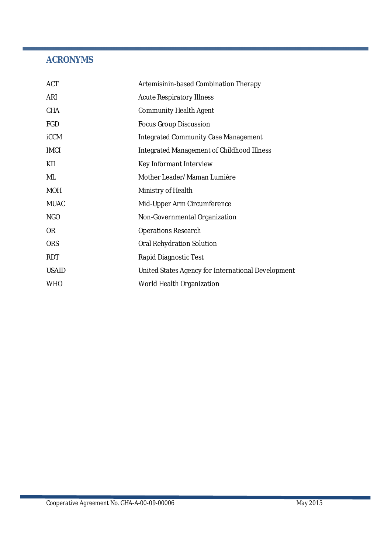### **ACRONYMS**

| <b>ACT</b>   | Artemisinin-based Combination Therapy              |
|--------------|----------------------------------------------------|
| ARI          | <b>Acute Respiratory Illness</b>                   |
| <b>CHA</b>   | <b>Community Health Agent</b>                      |
| <b>FGD</b>   | <b>Focus Group Discussion</b>                      |
| <b>iCCM</b>  | <b>Integrated Community Case Management</b>        |
| <b>IMCI</b>  | Integrated Management of Childhood Illness         |
| KII          | Key Informant Interview                            |
| ML           | Mother Leader/Maman Lumière                        |
| <b>MOH</b>   | Ministry of Health                                 |
| <b>MUAC</b>  | Mid-Upper Arm Circumference                        |
| <b>NGO</b>   | Non-Governmental Organization                      |
| <b>OR</b>    | <b>Operations Research</b>                         |
| <b>ORS</b>   | Oral Rehydration Solution                          |
| <b>RDT</b>   | Rapid Diagnostic Test                              |
| <b>USAID</b> | United States Agency for International Development |
| <b>WHO</b>   | World Health Organization                          |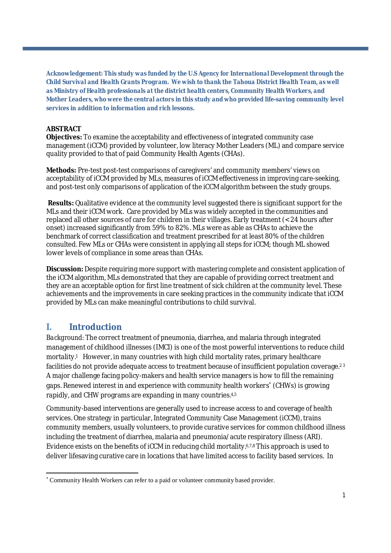**Acknowledgement:** *This study was funded by the U.S Agency for International Development through the Child Survival and Health Grants Program. We wish to thank the Tahoua District Health Team, as well as Ministry of Health professionals at the district health centers, Community Health Workers, and Mother Leaders, who were the central actors in this study and who provided life-saving community level services in addition to information and rich lessons.*

#### **ABSTRACT**

**Objectives:** To examine the acceptability and effectiveness of integrated community case management (iCCM) provided by volunteer, low literacy Mother Leaders (ML) and compare service quality provided to that of paid Community Health Agents (CHAs).

**Methods:** Pre-test post-test comparisons of caregivers' and community members' views on acceptability of iCCM provided by MLs, measures of iCCM effectiveness in improving care-seeking, and post-test only comparisons of application of the iCCM algorithm between the study groups.

**Results:** Qualitative evidence at the community level suggested there is significant support for the MLs and their iCCM work. Care provided by MLs was widely accepted in the communities and replaced all other sources of care for children in their villages. Early treatment (< 24 hours after onset) increased significantly from 59% to 82%. MLs were as able as CHAs to achieve the benchmark of correct classification and treatment prescribed for at least 80% of the children consulted. Few MLs or CHAs were consistent in applying all steps for iCCM; though ML showed lower levels of compliance in some areas than CHAs.

**Discussion:** Despite requiring more support with mastering complete and consistent application of the iCCM algorithm, MLs demonstrated that they are capable of providing correct treatment and they are an acceptable option for first line treatment of sick children at the community level. These achievements and the improvements in care seeking practices in the community indicate that iCCM provided by MLs can make meaningful contributions to child survival.

#### **I. Introduction**

*Background:* The correct treatment of pneumonia, diarrhea, and malaria through integrated management of childhood illnesses (IMCI) is one of the most powerful interventions to reduce child mortality.1 However, in many countries with high child mortality rates, primary healthcare facilities do not provide adequate access to treatment because of insufficient population coverage. $^{\rm 2\,3}$ A major challenge facing policy-makers and health service managers is how to fill the remaining gaps. Renewed interest in and experience with community health workers (CHWs) is growing rapidly, and CHW programs are expanding in many countries.4,5

Community-based interventions are generally used to increase access to and coverage of health services. One strategy in particular, Integrated Community Case Management (iCCM), trains community members, usually volunteers, to provide curative services for common childhood illness including the treatment of diarrhea, malaria and pneumonia/acute respiratory illness (ARI). Evidence exists on the benefits of iCCM in reducing child mortality.6,7,8This approach is used to deliver lifesaving curative care in locations that have limited access to facility based services. In

Community Health Workers can refer to a paid or volunteer community based provider.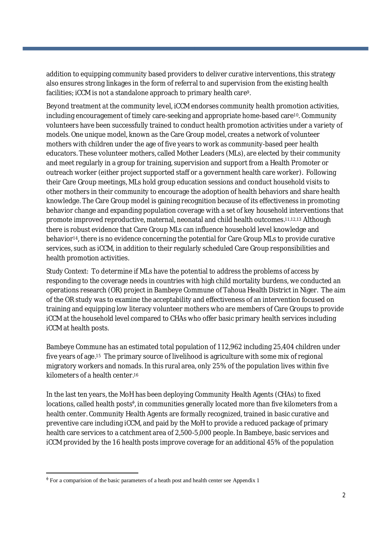addition to equipping community based providers to deliver curative interventions, this strategy also ensures strong linkages in the form of referral to and supervision from the existing health facilities; iCCM is not a standalone approach to primary health care9.

Beyond treatment at the community level, iCCM endorses community health promotion activities, including encouragement of timely care-seeking and appropriate home-based care<sup>10</sup>. Community volunteers have been successfully trained to conduct health promotion activities under a variety of models. One unique model, known as the Care Group model, creates a network of volunteer mothers with children under the age of five years to work as community-based peer health educators. These volunteer mothers, called Mother Leaders (MLs), are elected by their community and meet regularly in a group for training, supervision and support from a Health Promoter or outreach worker (either project supported staff or a government health care worker). Following their Care Group meetings, MLs hold group education sessions and conduct household visits to other mothers in their community to encourage the adoption of health behaviors and share health knowledge. The Care Group model is gaining recognition because of its effectiveness in promoting behavior change and expanding population coverage with a set of key household interventions that promote improved reproductive, maternal, neonatal and child health outcomes. 11,12,13 Although there is robust evidence that Care Group MLs can influence household level knowledge and behavior14, there is no evidence concerning the potential for Care Group MLs to provide curative services, such as iCCM, in addition to their regularly scheduled Care Group responsibilities and health promotion activities.

*Study Context*: To determine if MLs have the potential to address the problems of access by responding to the coverage needs in countries with high child mortality burdens, we conducted an operations research (OR) project in Bambeye Commune of Tahoua Health District in Niger. The aim of the OR study was to examine the acceptability and effectiveness of an intervention focused on training and equipping low literacy volunteer mothers who are members of Care Groups to provide iCCM at the household level compared to CHAs who offer basic primary health services including iCCM at health posts.

Bambeye Commune has an estimated total population of 112,962 including 25,404 children under five years of age. <sup>15</sup> The primary source of livelihood is agriculture with some mix of regional migratory workers and nomads. In this rural area, only 25% of the population lives within five kilometers of a health center. 16

In the last ten years, the MoH has been deploying Community Health Agents (CHAs) to fixed locations, called health posts<sup>®</sup>, in communities generally located more than five kilometers from a health center. Community Health Agents are formally recognized, trained in basic curative and preventive care including iCCM, and paid by the MoH to provide a reduced package of primary health care services to a catchment area of 2,500-5,000 people. In Bambeye, basic services and iCCM provided by the 16 health posts improve coverage for an additional 45% of the population

 $\Phi$  For a comparision of the basic parameters of a heath post and health center see Appendix 1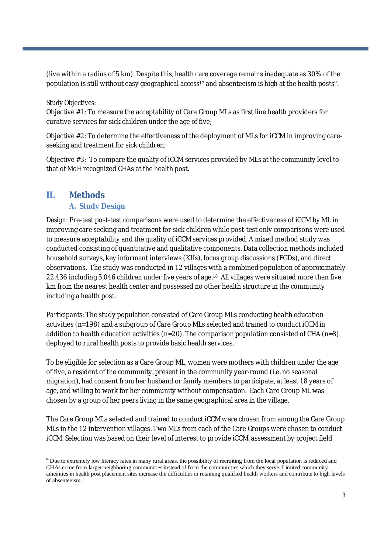(live within a radius of 5 km). Despite this, health care coverage remains inadequate as 30% of the population is still without easy geographical access<sup>17</sup> and absenteeism is high at the health posts<sup>a</sup>.

#### *Study Objectives*:

Objective #1: To measure the acceptability of Care Group MLs as first line health providers for curative services for sick children under the age of five;

Objective #2: To determine the effectiveness of the deployment of MLs for iCCM in improving careseeking and treatment for sick children;

Objective #3: To compare the quality of iCCM services provided by MLs at the community level to that of MoH recognized CHAs at the health post.

### **II. Methods**

#### **A. Study Design**

*Design:* Pre-test post-test comparisons were used to determine the effectiveness of iCCM by ML in improving care seeking and treatment for sick children while post-test only comparisons were used to measure acceptability and the quality of iCCM services provided. A mixed method study was conducted consisting of quantitative and qualitative components. Data collection methods included household surveys, key informant interviews (KIIs), focus group discussions (FGDs), and direct observations. The study was conducted in 12 villages with a combined population of approximately 22,436 including 5,046 children under five years of age. <sup>18</sup> All villages were situated more than five km from the nearest health center and possessed no other health structure in the community including a health post.

*Participants:* The study population consisted of Care Group MLs conducting health education activities (n=198) and a subgroup of Care Group MLs selected and trained to conduct iCCM in addition to health education activities (n=20). The comparison population consisted of CHA (n=8) deployed to rural health posts to provide basic health services.

To be eligible for selection as a Care Group ML, women were mothers with children under the age of five, a resident of the community, present in the community year-round (i.e. no seasonal migration), had consent from her husband or family members to participate, at least 18 years of age, and willing to work for her community without compensation. Each Care Group ML was chosen by a group of her peers living in the same geographical area in the village.

The Care Group MLs selected and trained to conduct iCCM were chosen from among the Care Group MLs in the 12 intervention villages. Two MLs from each of the Care Groups were chosen to conduct iCCM. Selection was based on their level of interest to provide iCCM, assessment by project field

 $\alpha$  Due to extremely low literacy rates in many rural areas, the possibility of recruiting from the local population is reduced and CHAs come from larger neighboring communities instead of from the communities which they serve. Limited community amenities in health post placement sites increase the difficulties in retaining qualified health workers and contribute to high levels of absenteeism.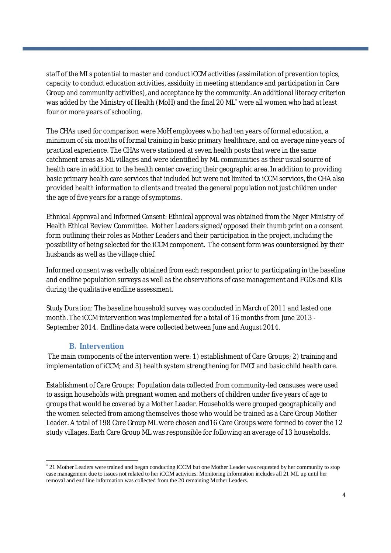staff of the MLs potential to master and conduct iCCM activities (assimilation of prevention topics, capacity to conduct education activities, assiduity in meeting attendance and participation in Care Group and community activities), and acceptance by the community. An additional literacy criterion was added by the Ministry of Health (MoH) and the final 20 ML<sup>\*</sup> were all women who had at least four or more years of schooling.

The CHAs used for comparison were MoH employees who had ten years of formal education, a minimum of six months of formal training in basic primary healthcare, and on average nine years of practical experience. The CHAs were stationed at seven health posts that were in the same catchment areas as ML villages and were identified by ML communities as their usual source of health care in addition to the health center covering their geographic area. In addition to providing basic primary health care services that included but were not limited to iCCM services, the CHA also provided health information to clients and treated the general population not just children under the age of five years for a range of symptoms.

*Ethnical Approval and Informed Consent:* Ethnical approval was obtained from the Niger Ministry of Health Ethical Review Committee. Mother Leaders signed/opposed their thumb print on a consent form outlining their roles as Mother Leaders and their participation in the project, including the possibility of being selected for the iCCM component. The consent form was countersigned by their husbands as well as the village chief.

Informed consent was verbally obtained from each respondent prior to participating in the baseline and endline population surveys as well as the observations of case management and FGDs and KIIs during the qualitative endline assessment.

*Study Duration:* The baseline household survey was conducted in March of 2011 and lasted one month. The iCCM intervention was implemented for a total of 16 months from June 2013 - September 2014. Endline data were collected between June and August 2014.

#### **B. Intervention**

The main components of the intervention were: 1) establishment of Care Groups; 2) training and implementation of iCCM; and 3) health system strengthening for IMCI and basic child health care.

*Establishment of Care Groups:* Population data collected from community-led censuses were used to assign households with pregnant women and mothers of children under five years of age to groups that would be covered by a Mother Leader. Households were grouped geographically and the women selected from among themselves those who would be trained as a Care Group Mother Leader. A total of 198 Care Group ML were chosen and16 Care Groups were formed to cover the 12 study villages. Each Care Group ML was responsible for following an average of 13 households.

21 Mother Leaders were trained and began conducting iCCM but one Mother Leader was requested by her community to stop case management due to issues not related to her iCCM activities. Monitoring information includes all 21 ML up until her removal and end line information was collected from the 20 remaining Mother Leaders.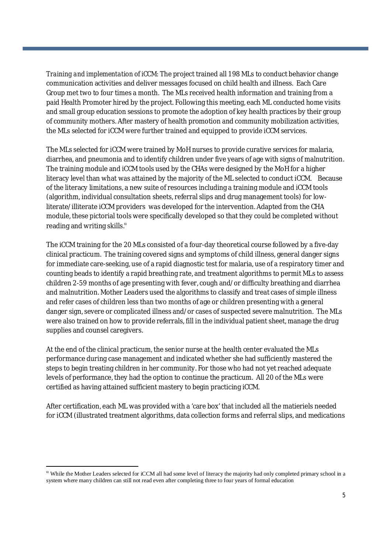*Training and implementation of iCCM:* The project trained all 198 MLs to conduct behavior change communication activities and deliver messages focused on child health and illness. Each Care Group met two to four times a month. The MLs received health information and training from a paid Health Promoter hired by the project. Following this meeting, each ML conducted home visits and small group education sessions to promote the adoption of key health practices by their group of community mothers. After mastery of health promotion and community mobilization activities, the MLs selected for iCCM were further trained and equipped to provide iCCM services.

The MLs selected for iCCM were trained by MoH nurses to provide curative services for malaria, diarrhea, and pneumonia and to identify children under five years of age with signs of malnutrition. The training module and iCCM tools used by the CHAs were designed by the MoH for a higher literacy level than what was attained by the majority of the ML selected to conduct iCCM. Because of the literacy limitations, a new suite of resources including a training module and iCCM tools (algorithm, individual consultation sheets, referral slips and drug management tools) for lowliterate/illiterate iCCM providers was developed for the intervention. Adapted from the CHA module, these pictorial tools were specifically developed so that they could be completed without reading and writing skills. $^{\alpha}$ 

The iCCM training for the 20 MLs consisted of a four-day theoretical course followed by a five-day clinical practicum. The training covered signs and symptoms of child illness, general danger signs for immediate care-seeking, use of a rapid diagnostic test for malaria, use of a respiratory timer and counting beads to identify a rapid breathing rate, and treatment algorithms to permit MLs to assess children 2-59 months of age presenting with fever, cough and/or difficulty breathing and diarrhea and malnutrition. Mother Leaders used the algorithms to classify and treat cases of simple illness and refer cases of children less than two months of age or children presenting with a general danger sign, severe or complicated illness and/or cases of suspected severe malnutrition. The MLs were also trained on how to provide referrals, fill in the individual patient sheet, manage the drug supplies and counsel caregivers.

At the end of the clinical practicum, the senior nurse at the health center evaluated the MLs performance during case management and indicated whether she had sufficiently mastered the steps to begin treating children in her community. For those who had not yet reached adequate levels of performance, they had the option to continue the practicum. All 20 of the MLs were certified as having attained sufficient mastery to begin practicing iCCM.

After certification, each ML was provided with a 'care box' that included all the matieriels needed for iCCM (illustrated treatment algorithms, data collection forms and referral slips, and medications

 $\alpha$  While the Mother Leaders selected for iCCM all had some level of literacy the majority had only completed primary school in a system where many children can still not read even after completing three to four years of formal education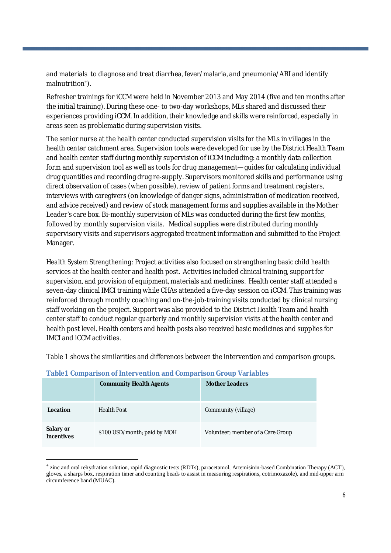and materials to diagnose and treat diarrhea, fever/malaria, and pneumonia/ARI and identify malnutrition ).

Refresher trainings for iCCM were held in November 2013 and May 2014 (five and ten months after the initial training). During these one- to two-day workshops, MLs shared and discussed their experiences providing iCCM. In addition, their knowledge and skills were reinforced, especially in areas seen as problematic during supervision visits.

The senior nurse at the health center conducted supervision visits for the MLs in villages in the health center catchment area. Supervision tools were developed for use by the District Health Team and health center staff during monthly supervision of iCCM including: a monthly data collection form and supervision tool as well as tools for drug management—guides for calculating individual drug quantities and recording drug re-supply. Supervisors monitored skills and performance using direct observation of cases (when possible), review of patient forms and treatment registers, interviews with caregivers (on knowledge of danger signs, administration of medication received, and advice received) and review of stock management forms and supplies available in the Mother Leader's care box. Bi-monthly supervision of MLs was conducted during the first few months, followed by monthly supervision visits. Medical supplies were distributed during monthly supervisory visits and supervisors aggregated treatment information and submitted to the Project Manager.

*Health System Strengthening:* Project activities also focused on strengthening basic child health services at the health center and health post. Activities included clinical training, support for supervision, and provision of equipment, materials and medicines. Health center staff attended a seven-day clinical IMCI training while CHAs attended a five-day session on iCCM. This training was reinforced through monthly coaching and on-the-job-training visits conducted by clinical nursing staff working on the project. Support was also provided to the District Health Team and health center staff to conduct regular quarterly and monthly supervision visits at the health center and health post level. Health centers and health posts also received basic medicines and supplies for IMCI and iCCM activities.

Table 1 shows the similarities and differences between the intervention and comparison groups.

|                                | <b>Community Health Agents</b> | <b>Mother Leaders</b>             |
|--------------------------------|--------------------------------|-----------------------------------|
| Location                       | <b>Health Post</b>             | Community (village)               |
| Salary or<br><b>Incentives</b> | \$100 USD/month; paid by MOH   | Volunteer; member of a Care Group |

#### **Table1 Comparison of Intervention and Comparison Group Variables**

zinc and oral rehydration solution, rapid diagnostic tests (RDTs), paracetamol, Artemisinin-based Combination Therapy (ACT), gloves, a sharps box, respiration timer and counting beads to assist in measuring respirations, cotrimoxazole), and mid-upper arm circumference band (MUAC).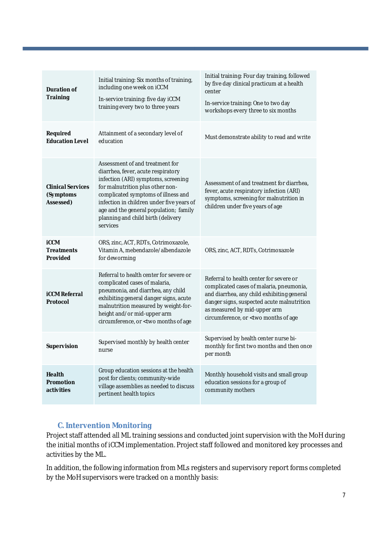| Duration of<br><b>Training</b>                      | Initial training: Six months of training,<br>including one week on iCCM<br>In-service training: five day iCCM<br>training every two to three years                                                                                                                                                                               | Initial training: Four day training, followed<br>by five day clinical practicum at a health<br>center<br>In-service training: One to two day<br>workshops every three to six months                                                                                            |
|-----------------------------------------------------|----------------------------------------------------------------------------------------------------------------------------------------------------------------------------------------------------------------------------------------------------------------------------------------------------------------------------------|--------------------------------------------------------------------------------------------------------------------------------------------------------------------------------------------------------------------------------------------------------------------------------|
| Required<br><b>Education Level</b>                  | Attainment of a secondary level of<br>education                                                                                                                                                                                                                                                                                  | Must demonstrate ability to read and write                                                                                                                                                                                                                                     |
| <b>Clinical Services</b><br>(Symptoms<br>Assessed)  | Assessment of and treatment for<br>diarrhea, fever, acute respiratory<br>infection (ARI) symptoms, screening<br>for malnutrition plus other non-<br>complicated symptoms of illness and<br>infection in children under five years of<br>age and the general population; family<br>planning and child birth (delivery<br>services | Assessment of and treatment for diarrhea,<br>fever, acute respiratory infection (ARI)<br>symptoms, screening for malnutrition in<br>children under five years of age                                                                                                           |
| <b>iCCM</b><br><b>Treatments</b><br><b>Provided</b> | ORS, zinc, ACT, RDTs, Cotrimoxazole,<br>Vitamin A, mebendazole/albendazole<br>for deworming                                                                                                                                                                                                                                      | ORS, zinc, ACT, RDTs, Cotrimoxazole                                                                                                                                                                                                                                            |
| <b>iCCM Referral</b><br>Protocol                    | Referral to health center for severe or<br>complicated cases of malaria,<br>pneumonia, and diarrhea, any child<br>exhibiting general danger signs, acute<br>malnutrition measured by weight-for-<br>height and/or mid-upper arm<br>circumference, or < two months of age                                                         | Referral to health center for severe or<br>complicated cases of malaria, pneumonia,<br>and diarrhea, any child exhibiting general<br>danger signs, suspected acute malnutrition<br>as measured by mid-upper arm<br>circumference, or <two age<="" months="" of="" th=""></two> |
| Supervision                                         | Supervised monthly by health center<br>nurse                                                                                                                                                                                                                                                                                     | Supervised by health center nurse bi-<br>monthly for first two months and then once<br>per month                                                                                                                                                                               |
| <b>Health</b><br><b>Promotion</b><br>activities     | Group education sessions at the health<br>post for clients; community-wide<br>village assemblies as needed to discuss<br>pertinent health topics                                                                                                                                                                                 | Monthly household visits and small group<br>education sessions for a group of<br>community mothers                                                                                                                                                                             |

#### **C. Intervention Monitoring**

Project staff attended all ML training sessions and conducted joint supervision with the MoH during the initial months of iCCM implementation. Project staff followed and monitored key processes and activities by the ML.

In addition, the following information from MLs registers and supervisory report forms completed by the MoH supervisors were tracked on a monthly basis: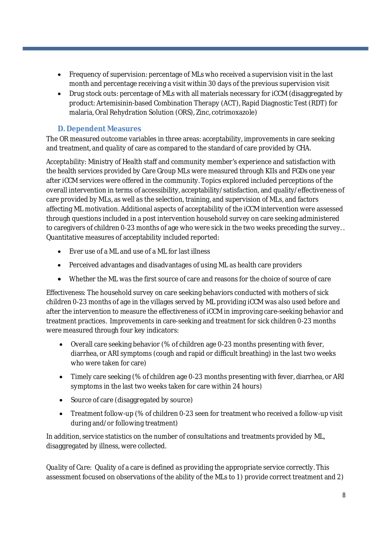- Frequency of supervision: percentage of MLs who received a supervision visit in the last month and percentage receiving a visit within 30 days of the previous supervision visit
- Drug stock outs: percentage of MLs with all materials necessary for iCCM (disaggregated by product: Artemisinin-based Combination Therapy (ACT), Rapid Diagnostic Test (RDT) for malaria, Oral Rehydration Solution (ORS), Zinc, cotrimoxazole)

#### **D. Dependent Measures**

The OR measured outcome variables in three areas: acceptability, improvements in care seeking and treatment, and quality of care as compared to the standard of care provided by CHA.

*Acceptability:* Ministry of Health staff and community member's experience and satisfaction with the health services provided by Care Group MLs were measured through KIIs and FGDs one year after iCCM services were offered in the community. Topics explored included perceptions of the overall intervention in terms of accessibility, acceptability/satisfaction, and quality/effectiveness of care provided by MLs, as well as the selection, training, and supervision of MLs, and factors affecting ML motivation. Additional aspects of acceptability of the iCCM intervention were assessed through questions included in a post intervention household survey on care seeking administered to caregivers of children 0-23 months of age who were sick in the two weeks preceding the survey. . Quantitative measures of acceptability included reported:

- Ever use of a ML and use of a ML for last illness
- Perceived advantages and disadvantages of using ML as health care providers
- Whether the ML was the first source of care and reasons for the choice of source of care

*Effectiveness:* The household survey on care seeking behaviors conducted with mothers of sick children 0-23 months of age in the villages served by ML providing iCCM was also used before and after the intervention to measure the effectiveness of iCCM in improving care-seeking behavior and treatment practices. Improvements in care-seeking and treatment for sick children 0-23 months were measured through four key indicators:

- Overall care seeking behavior (% of children age 0-23 months presenting with fever, diarrhea, or ARI symptoms (cough and rapid or difficult breathing) in the last two weeks who were taken for care)
- Timely care seeking (% of children age 0-23 months presenting with fever, diarrhea, or ARI symptoms in the last two weeks taken for care within 24 hours)
- Source of care (disaggregated by source)
- Treatment follow-up (% of children 0-23 seen for treatment who received a follow-up visit during and/or following treatment)

In addition, service statistics on the number of consultations and treatments provided by ML, disaggregated by illness, were collected.

*Quality of Care:* Quality of a care is defined as providing the appropriate service correctly. This assessment focused on observations of the ability of the MLs to 1) provide correct treatment and 2)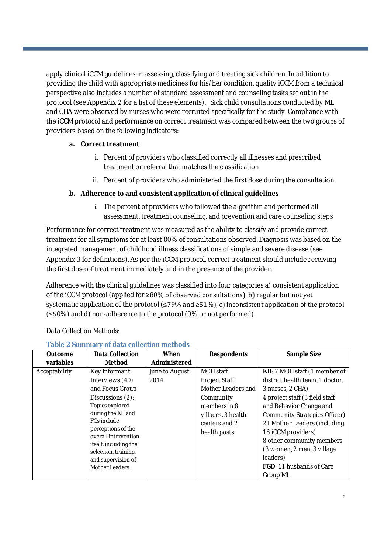apply clinical iCCM guidelines in assessing, classifying and treating sick children. In addition to providing the child with appropriate medicines for his/her condition, quality iCCM from a technical perspective also includes a number of standard assessment and counseling tasks set out in the protocol (see Appendix 2 for a list of these elements). Sick child consultations conducted by ML and CHA were observed by nurses who were recruited specifically for the study. Compliance with the iCCM protocol and performance on correct treatment was compared between the two groups of providers based on the following indicators:

#### **a. Correct treatment**

- i. Percent of providers who classified correctly all illnesses and prescribed treatment or referral that matches the classification
- ii. Percent of providers who administered the first dose during the consultation

#### **b. Adherence to and consistent application of clinical guidelines**

i. The percent of providers who followed the algorithm and performed all assessment, treatment counseling, and prevention and care counseling steps

Performance for correct treatment was measured as the ability to classify and provide correct treatment for all symptoms for at least 80% of consultations observed. Diagnosis was based on the integrated management of childhood illness classifications of simple and severe disease (see Appendix 3 for definitions). As per the iCCM protocol, correct treatment should include receiving the first dose of treatment immediately and in the presence of the provider.

Adherence with the clinical guidelines was classified into four categories a) consistent application of the iCCM protocol (applied for ≥80% of observed consultations), b) regular but not yet systematic application of the protocol (≤79% and ≥51%), c) inconsistent application of the protocol (≤50%) and d) non-adherence to the protocol (0% or not performed).

| <b>Outcome</b><br>variables | <b>Data Collection</b><br><b>Method</b>                                                                                                                                                                                                                                        | <b>When</b><br>Administered | <b>Respondents</b>                                                                                                                          | Sample Size                                                                                                                                                                                                                                                                                                                                              |
|-----------------------------|--------------------------------------------------------------------------------------------------------------------------------------------------------------------------------------------------------------------------------------------------------------------------------|-----------------------------|---------------------------------------------------------------------------------------------------------------------------------------------|----------------------------------------------------------------------------------------------------------------------------------------------------------------------------------------------------------------------------------------------------------------------------------------------------------------------------------------------------------|
| Acceptability               | Key Informant<br>Interviews (40)<br>and Focus Group<br>Discussions (2):<br>Topics explored<br>during the KII and<br><b>FGs include</b><br>perceptions of the<br>overall intervention<br>itself, including the<br>selection, training,<br>and supervision of<br>Mother Leaders. | June to August<br>2014      | MOH staff<br><b>Project Staff</b><br>Mother Leaders and<br>Community<br>members in 8<br>villages, 3 health<br>centers and 2<br>health posts | KII: 7 MOH staff (1 member of<br>district health team, 1 doctor,<br>3 nurses, 2 CHA)<br>4 project staff (3 field staff<br>and Behavior Change and<br>Community Strategies Officer)<br>21 Mother Leaders (including<br>16 iCCM providers)<br>8 other community members<br>(3 women, 2 men, 3 village)<br>leaders)<br>FGD: 11 husbands of Care<br>Group ML |

#### *Data Collection Methods:*

#### **Table 2 Summary of data collection methods**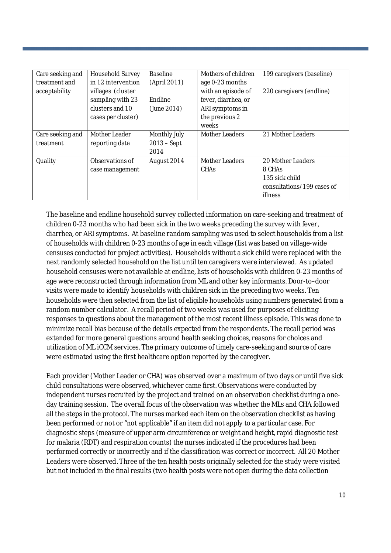| Care seeking and | Household Survey   | Baseline      | Mothers of children   | 199 caregivers (baseline)  |
|------------------|--------------------|---------------|-----------------------|----------------------------|
| treatment and    | in 12 intervention | (April 2011)  | age 0-23 months       |                            |
| acceptability    | villages (cluster  |               | with an episode of    | 220 caregivers (endline)   |
|                  | sampling with 23   | Endline       | fever, diarrhea, or   |                            |
|                  | clusters and 10    | (June 2014)   | ARI symptoms in       |                            |
|                  | cases per cluster) |               | the previous 2        |                            |
|                  |                    |               | weeks                 |                            |
| Care seeking and | Mother Leader      | Monthly July  | <b>Mother Leaders</b> | 21 Mother Leaders          |
| treatment        | reporting data     | $2013 - Sept$ |                       |                            |
|                  |                    | 2014          |                       |                            |
| Quality          | Observations of    | August 2014   | <b>Mother Leaders</b> | 20 Mother Leaders          |
|                  | case management    |               | CHAS                  | 8 CHAS                     |
|                  |                    |               |                       | 135 sick child             |
|                  |                    |               |                       | consultations/199 cases of |
|                  |                    |               |                       | illness                    |

The baseline and endline household survey collected information on care-seeking and treatment of children 0-23 months who had been sick in the two weeks preceding the survey with fever, diarrhea, or ARI symptoms. At baseline random sampling was used to select households from a list of households with children 0-23 months of age in each village (list was based on village-wide censuses conducted for project activities). Households without a sick child were replaced with the next randomly selected household on the list until ten caregivers were interviewed. As updated household censuses were not available at endline, lists of households with children 0-23 months of age were reconstructed through information from ML and other key informants. Door-to–door visits were made to identify households with children sick in the preceding two weeks. Ten households were then selected from the list of eligible households using numbers generated from a random number calculator. A recall period of two weeks was used for purposes of eliciting responses to questions about the management of the most recent illness episode. This was done to minimize recall bias because of the details expected from the respondents. The recall period was extended for more general questions around health seeking choices, reasons for choices and utilization of ML iCCM services. The primary outcome of timely care-seeking and source of care were estimated using the first healthcare option reported by the caregiver.

Each provider (Mother Leader or CHA) was observed over a maximum of two days or until five sick child consultations were observed, whichever came first. Observations were conducted by independent nurses recruited by the project and trained on an observation checklist during a oneday training session. The overall focus of the observation was whether the MLs and CHA followed all the steps in the protocol. The nurses marked each item on the observation checklist as having been performed or not or "not applicable" if an item did not apply to a particular case. For diagnostic steps (measure of upper arm circumference or weight and height, rapid diagnostic test for malaria (RDT) and respiration counts) the nurses indicated if the procedures had been performed correctly or incorrectly and if the classification was correct or incorrect. All 20 Mother Leaders were observed. Three of the ten health posts originally selected for the study were visited but not included in the final results (two health posts were not open during the data collection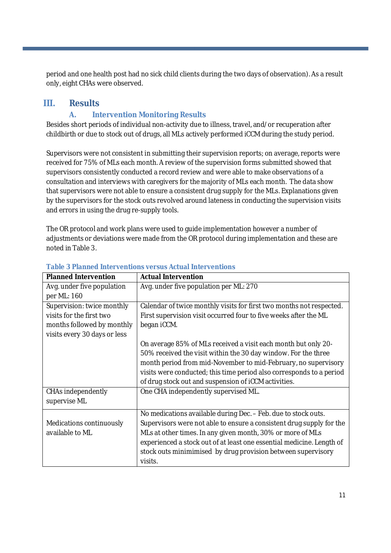period and one health post had no sick child clients during the two days of observation). As a result only, eight CHAs were observed.

### **III. Results**

#### **A. Intervention Monitoring Results**

Besides short periods of individual non-activity due to illness, travel, and/or recuperation after childbirth or due to stock out of drugs, all MLs actively performed iCCM during the study period.

Supervisors were not consistent in submitting their supervision reports; on average, reports were received for 75% of MLs each month. A review of the supervision forms submitted showed that supervisors consistently conducted a record review and were able to make observations of a consultation and interviews with caregivers for the majority of MLs each month. The data show that supervisors were not able to ensure a consistent drug supply for the MLs. Explanations given by the supervisors for the stock outs revolved around lateness in conducting the supervision visits and errors in using the drug re-supply tools.

The OR protocol and work plans were used to guide implementation however a number of adjustments or deviations were made from the OR protocol during implementation and these are noted in Table 3.

| <b>Planned Intervention</b>  | <b>Actual Intervention</b>                                            |
|------------------------------|-----------------------------------------------------------------------|
| Avg. under five population   | Avg. under five population per ML: 270                                |
| per ML: 160                  |                                                                       |
| Supervision: twice monthly   | Calendar of twice monthly visits for first two months not respected.  |
| visits for the first two     | First supervision visit occurred four to five weeks after the ML      |
| months followed by monthly   | began iCCM.                                                           |
| visits every 30 days or less |                                                                       |
|                              | On average 85% of MLs received a visit each month but only 20-        |
|                              | 50% received the visit within the 30 day window. For the three        |
|                              | month period from mid-November to mid-February, no supervisory        |
|                              | visits were conducted; this time period also corresponds to a period  |
|                              | of drug stock out and suspension of iCCM activities.                  |
| CHAs independently           | One CHA independently supervised ML.                                  |
| supervise ML                 |                                                                       |
|                              | No medications available during Dec. - Feb. due to stock outs.        |
| Medications continuously     | Supervisors were not able to ensure a consistent drug supply for the  |
| available to ML              | MLs at other times. In any given month, 30% or more of MLs            |
|                              | experienced a stock out of at least one essential medicine. Length of |
|                              | stock outs minimimised by drug provision between supervisory          |
|                              | visits.                                                               |

#### **Table 3 Planned Interventions versus Actual Interventions**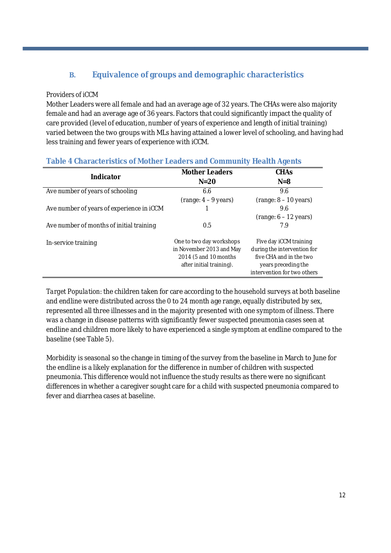### **B. Equivalence of groups and demographic characteristics**

#### *Providers of iCCM*

Mother Leaders were all female and had an average age of 32 years. The CHAs were also majority female and had an average age of 36 years. Factors that could significantly impact the quality of care provided (level of education, number of years of experience and length of initial training) varied between the two groups with MLs having attained a lower level of schooling, and having had less training and fewer years of experience with iCCM.

|  | Table 4 Characteristics of Mother Leaders and Community Health Agents |  |
|--|-----------------------------------------------------------------------|--|
|--|-----------------------------------------------------------------------|--|

| Indicator                                 | <b>Mother Leaders</b>    | <b>CHAs</b>                 |
|-------------------------------------------|--------------------------|-----------------------------|
|                                           | $N = 20$                 | $N = 8$                     |
| Ave number of years of schooling          | 6.6                      | 9.6                         |
|                                           | $(range: 4 - 9 years)$   | $(range: 8 - 10 years)$     |
| Ave number of years of experience in ICCM |                          | 9.6                         |
|                                           |                          | $(range: 6 - 12 years)$     |
| Ave number of months of initial training  | 0.5                      | 7.9                         |
| In-service training                       | One to two day workshops | Five day iCCM training      |
|                                           | in November 2013 and May | during the intervention for |
|                                           | 2014 (5 and 10 months)   | five CHA and in the two     |
|                                           | after initial training). | years preceding the         |
|                                           |                          | intervention for two others |

*Target Population:* the children taken for care according to the household surveys at both baseline and endline were distributed across the 0 to 24 month age range, equally distributed by sex, represented all three illnesses and in the majority presented with one symptom of illness. There was a change in disease patterns with significantly fewer suspected pneumonia cases seen at endline and children more likely to have experienced a single symptom at endline compared to the baseline (see Table 5).

Morbidity is seasonal so the change in timing of the survey from the baseline in March to June for the endline is a likely explanation for the difference in number of children with suspected pneumonia. This difference would not influence the study results as there were no significant differences in whether a caregiver sought care for a child with suspected pneumonia compared to fever and diarrhea cases at baseline.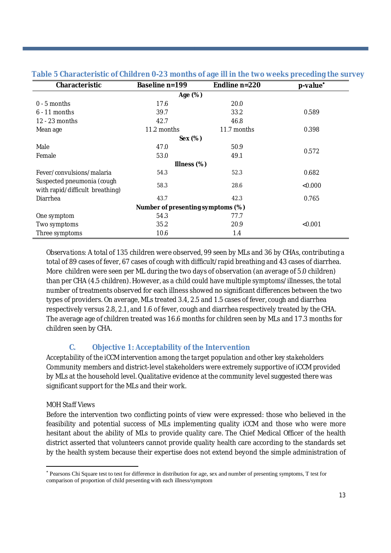| Characteristic                                                | Baseline n=199 | Endline n=220 | p-value <sup>*</sup> |  |
|---------------------------------------------------------------|----------------|---------------|----------------------|--|
|                                                               | Age (%)        |               |                      |  |
| $0 - 5$ months                                                | 17.6           | 20.0          |                      |  |
| $6 - 11$ months                                               | 39.7           | 33.2          | 0.589                |  |
| 12 - 23 months                                                | 42.7           | 46.8          |                      |  |
| Mean age                                                      | 11.2 months    | 11.7 months   | 0.398                |  |
|                                                               | Sex (%)        |               |                      |  |
| Male                                                          | 47.0           | 50.9          |                      |  |
| Female                                                        | 53.0           | 49.1          | 0.572                |  |
|                                                               | Illness $(\%)$ |               |                      |  |
| Fever/convulsions/malaria                                     | 54.3           | 52.3          | 0.682                |  |
| Suspected pneumonia (cough<br>with rapid/difficult breathing) | 58.3           | 28.6          | < 0.000              |  |
| Diarrhea                                                      | 43.7           | 42.3          | 0.765                |  |
| Number of presenting symptoms (%)                             |                |               |                      |  |
| One symptom                                                   | 54.3           | 77.7          |                      |  |
| Two symptoms                                                  | 35.2           | 20.9          | < 0.001              |  |
| Three symptoms                                                | 10.6           | 1.4           |                      |  |

#### **Table 5 Characteristic of Children 0-23 months of age ill in the two weeks preceding the survey**

*Observations:* A total of 135 children were observed, 99 seen by MLs and 36 by CHAs, contributing a total of 89 cases of fever, 67 cases of cough with difficult/rapid breathing and 43 cases of diarrhea. More children were seen per ML during the two days of observation (an average of 5.0 children) than per CHA (4.5 children). However, as a child could have multiple symptoms/illnesses, the total number of treatments observed for each illness showed no significant differences between the two types of providers. On average, MLs treated 3.4, 2.5 and 1.5 cases of fever, cough and diarrhea respectively versus 2.8, 2.1, and 1.6 of fever, cough and diarrhea respectively treated by the CHA. The average age of children treated was 16.6 months for children seen by MLs and 17.3 months for children seen by CHA.

#### **C. Objective 1: Acceptability of the Intervention**

*Acceptability of the iCCM intervention among the target population and other key stakeholders* Community members and district-level stakeholders were extremely supportive of iCCM provided by MLs at the household level. Qualitative evidence at the community level suggested there was significant support for the MLs and their work.

#### *MOH Staff Views*

Before the intervention two conflicting points of view were expressed: those who believed in the feasibility and potential success of MLs implementing quality iCCM and those who were more hesitant about the ability of MLs to provide quality care. The Chief Medical Officer of the health district asserted that volunteers cannot provide quality health care according to the standards set by the health system because their expertise does not extend beyond the simple administration of

Pearsons Chi Square test to test for difference in distribution for age, sex and number of presenting symptoms, T test for comparison of proportion of child presenting with each illness/symptom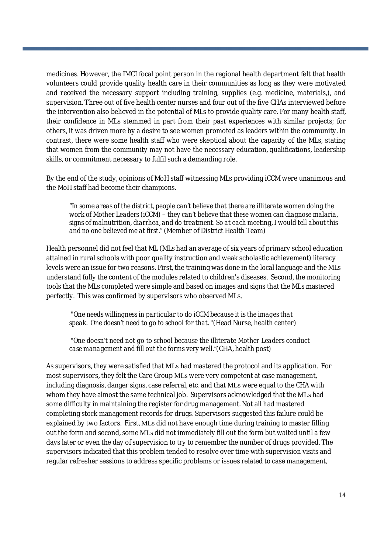medicines. However, the IMCI focal point person in the regional health department felt that health volunteers could provide quality health care in their communities as long as they were motivated and received the necessary support including training, supplies (e.g. medicine, materials,), and supervision. Three out of five health center nurses and four out of the five CHAs interviewed before the intervention also believed in the potential of MLs to provide quality care. For many health staff, their confidence in MLs stemmed in part from their past experiences with similar projects; for others, it was driven more by a desire to see women promoted as leaders within the community. In contrast, there were some health staff who were skeptical about the capacity of the MLs, stating that women from the community may not have the necessary education, qualifications, leadership skills, or commitment necessary to fulfil such a demanding role.

By the end of the study, opinions of MoH staff witnessing MLs providing iCCM were unanimous and the MoH staff had become their champions.

*"In some areas of the district, people can't believe that there are illiterate women doing the work of Mother Leaders (iCCM) – they can't believe that these women can diagnose malaria, signs of malnutrition, diarrhea, and do treatment. So at each meeting, I would tell about this and no one believed me at first." (*Member of District Health Team)

Health personnel did not feel that ML (MLs had an average of six years of primary school education attained in rural schools with poor quality instruction and weak scholastic achievement) literacy levels were an issue for two reasons. First, the training was done in the local language and the MLs understand fully the content of the modules related to children's diseases. Second, the monitoring tools that the MLs completed were simple and based on images and signs that the MLs mastered perfectly. This was confirmed by supervisors who observed MLs.

"*One needs willingness in particular to do iCCM because it is the images that speak. One doesn't need to go to school for that. "(*Head Nurse, health center)

*"One doesn't need not go to school because the illiterate Mother Leaders conduct case management and fill out the forms very well."(*CHA, health post)

As supervisors, they were satisfied that MLs had mastered the protocol and its application. For most supervisors, they felt the Care Group MLs were very competent at case management, including diagnosis, danger signs, case referral, etc. and that MLs were equal to the CHA with whom they have almost the same technical job. Supervisors acknowledged that the MLs had some difficulty in maintaining the register for drug management. Not all had mastered completing stock management records for drugs. Supervisors suggested this failure could be explained by two factors. First, MLs did not have enough time during training to master filling out the form and second, some MLs did not immediately fill out the form but waited until a few days later or even the day of supervision to try to remember the number of drugs provided. The supervisors indicated that this problem tended to resolve over time with supervision visits and regular refresher sessions to address specific problems or issues related to case management,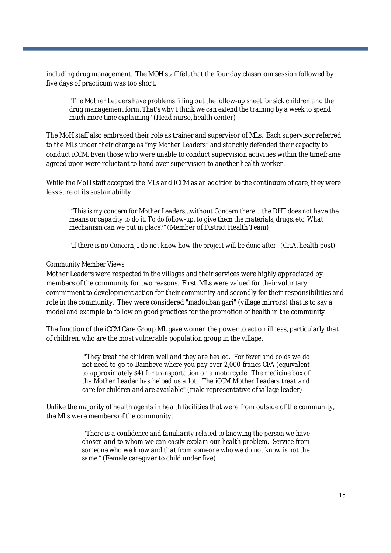including drug management. The MOH staff felt that the four day classroom session followed by five days of practicum was too short.

*"The Mother Leaders have problems filling out the follow-up sheet for sick children and the drug management form. That's why I think we can extend the training by a week to spend much more time explaining"*(Head nurse, health center)

The MoH staff also embraced their role as trainer and supervisor of MLs. Each supervisor referred to the MLs under their charge as "my Mother Leaders" and stanchly defended their capacity to conduct iCCM. Even those who were unable to conduct supervision activities within the timeframe agreed upon were reluctant to hand over supervision to another health worker.

While the MoH staff accepted the MLs and iCCM as an addition to the continuum of care, they were less sure of its sustainability.

"*This is my concern for Mother Leaders…without Concern there… the DHT does not have the means or capacity to do it. To do follow-up, to give them the materials, drugs, etc. What mechanism can we put in place?" (*Member of District Health Team)

*"If there is no Concern, I do not know how the project will be done after"* (CHA, health post)

#### *Community Member Views*

Mother Leaders were respected in the villages and their services were highly appreciated by members of the community for two reasons. First, MLs were valued for their voluntary commitment to development action for their community and secondly for their responsibilities and role in the community. They were considered "madouban gari" (village mirrors) that is to say a model and example to follow on good practices for the promotion of health in the community.

The function of the iCCM Care Group ML gave women the power to act on illness, particularly that of children, who are the most vulnerable population group in the village.

> *"They treat the children well and they are healed. For fever and colds we do not need to go to Bambeye where you pay over 2,000 francs CFA (equivalent to approximately \$4) for transportation on a motorcycle. The medicine box of the Mother Leader has helped us a lot. The iCCM Mother Leaders treat and care for children and are available" (*male representative of village leader)

Unlike the majority of health agents in health facilities that were from outside of the community, the MLs were members of the community.

> *"There is a confidence and familiarity related to knowing the person we have chosen and to whom we can easily explain our health problem. Service from someone who we know and that from someone who we do not know is not the same."* (Female caregiver to child under five)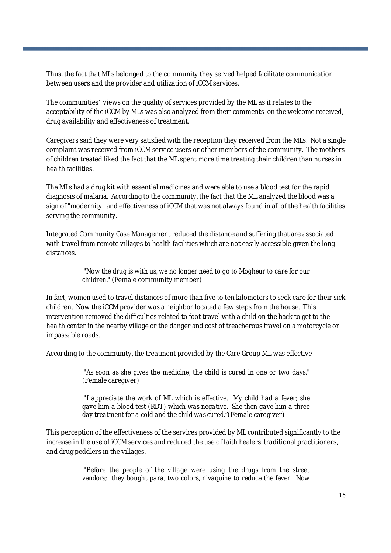Thus, the fact that MLs belonged to the community they served helped facilitate communication between users and the provider and utilization of iCCM services.

The communities' views on the quality of services provided by the ML as it relates to the acceptability of the iCCM by MLs was also analyzed from their comments on the welcome received, drug availability and effectiveness of treatment.

Caregivers said they were very satisfied with the reception they received from the MLs. Not a single complaint was received from iCCM service users or other members of the community. The mothers of children treated liked the fact that the ML spent more time treating their children than nurses in health facilities.

The MLs had a drug kit with essential medicines and were able to use a blood test for the rapid diagnosis of malaria. According to the community, the fact that the ML analyzed the blood was a sign of "modernity" and effectiveness of iCCM that was not always found in all of the health facilities serving the community.

Integrated Community Case Management reduced the distance and suffering that are associated with travel from remote villages to health facilities which are not easily accessible given the long distances.

#### *"Now the drug is with us, we no longer need to go to Mogheur to care for our children."* (Female community member)

In fact, women used to travel distances of more than five to ten kilometers to seek care for their sick children. Now the iCCM provider was a neighbor located a few steps from the house. This intervention removed the difficulties related to foot travel with a child on the back to get to the health center in the nearby village or the danger and cost of treacherous travel on a motorcycle on impassable roads.

According to the community, the treatment provided by the Care Group ML was effective

"*As soon as she gives the medicine, the child is cured in one or two days.*" (Female caregiver)

*"I appreciate the work of ML which is effective. My child had a fever; she gave him a blood test (RDT) which was negative. She then gave him a three day treatment for a cold and the child was cured*."(Female caregiver)

This perception of the effectiveness of the services provided by ML contributed significantly to the increase in the use of iCCM services and reduced the use of faith healers, traditional practitioners, and drug peddlers in the villages.

> "*Before the people of the village were using the drugs from the street vendors; they bought para, two colors, nivaquine to reduce the fever. Now*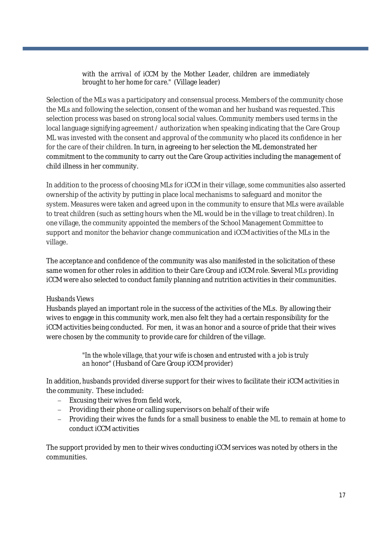#### *with the arrival of iCCM by the Mother Leader, children are immediately brought to her home for care."* (Village leader)

Selection of the MLs was a participatory and consensual process. Members of the community chose the MLs and following the selection, consent of the woman and her husband was requested. This selection process was based on strong local social values. Community members used terms in the local language signifying agreement / authorization when speaking indicating that the Care Group ML was invested with the consent and approval of the community who placed its confidence in her for the care of their children. In turn, in agreeing to her selection the ML demonstrated her commitment to the community to carry out the Care Group activities including the management of child illness in her community.

In addition to the process of choosing MLs for iCCM in their village, some communities also asserted ownership of the activity by putting in place local mechanisms to safeguard and monitor the system. Measures were taken and agreed upon in the community to ensure that MLs were available to treat children (such as setting hours when the ML would be in the village to treat children). In one village, the community appointed the members of the School Management Committee to support and monitor the behavior change communication and iCCM activities of the MLs in the village.

The acceptance and confidence of the community was also manifested in the solicitation of these same women for other roles in addition to their Care Group and iCCM role. Several MLs providing iCCM were also selected to conduct family planning and nutrition activities in their communities.

#### *Husbands Views*

Husbands played an important role in the success of the activities of the MLs. By allowing their wives to engage in this community work, men also felt they had a certain responsibility for the iCCM activities being conducted. For men, it was an honor and a source of pride that their wives were chosen by the community to provide care for children of the village.

> *"In the whole village, that your wife is chosen and entrusted with a job is truly an honor"*(Husband of Care Group iCCM provider)

In addition, husbands provided diverse support for their wives to facilitate their iCCM activities in the community. These included:

- $-$  Excusing their wives from field work,
- Providing their phone or calling supervisors on behalf of their wife
- Providing their wives the funds for a small business to enable the ML to remain at home to conduct iCCM activities

The support provided by men to their wives conducting iCCM services was noted by others in the communities.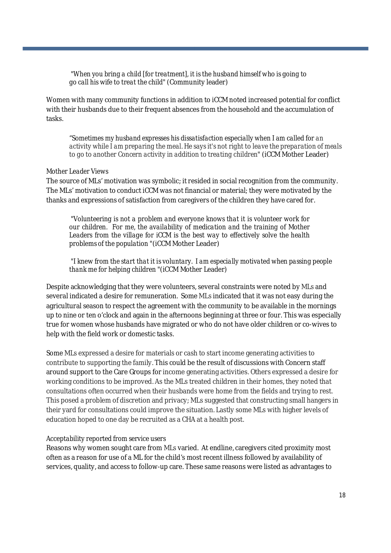*"When you bring a child [for treatment], it is the husband himself who is going to go call his wife to treat the child"*(Community leader)

Women with many community functions in addition to iCCM noted increased potential for conflict with their husbands due to their frequent absences from the household and the accumulation of tasks.

*"Sometimes my husband expresses his dissatisfaction especially when I am called for an activity while I am preparing the meal. He says it's not right to leave the preparation of meals to go to another Concern activity in addition to treating children*" (iCCM Mother Leader)

#### *Mother Leader Views*

The source of MLs' motivation was symbolic; it resided in social recognition from the community. The MLs' motivation to conduct iCCM was not financial or material; they were motivated by the thanks and expressions of satisfaction from caregivers of the children they have cared for.

"*Volunteering is not a problem and everyone knows that it is volunteer work for our children. For me, the availability of medication and the training of Mother Leaders from the village for iCCM is the best way to effectively solve the health problems of the population* "(iCCM Mother Leader)

*"I knew from the start that it is voluntary. I am especially motivated when passing people thank me for helping children* "(iCCM Mother Leader)

Despite acknowledging that they were volunteers, several constraints were noted by MLs and several indicated a desire for remuneration. Some MLs indicated that it was not easy during the agricultural season to respect the agreement with the community to be available in the mornings up to nine or ten o'clock and again in the afternoons beginning at three or four. This was especially true for women whose husbands have migrated or who do not have older children or co-wives to help with the field work or domestic tasks.

Some MLs expressed a desire for materials or cash to start income generating activities to contribute to supporting the family. This could be the result of discussions with Concern staff around support to the Care Groups for income generating activities. Others expressed a desire for working conditions to be improved. As the MLs treated children in their homes, they noted that consultations often occurred when their husbands were home from the fields and trying to rest. This posed a problem of discretion and privacy; MLs suggested that constructing small hangers in their yard for consultations could improve the situation. Lastly some MLs with higher levels of education hoped to one day be recruited as a CHA at a health post.

#### *Acceptability reported from service users*

Reasons why women sought care from MLs varied. At endline, caregivers cited proximity most often as a reason for use of a ML for the child's most recent illness followed by availability of services, quality, and access to follow-up care. These same reasons were listed as advantages to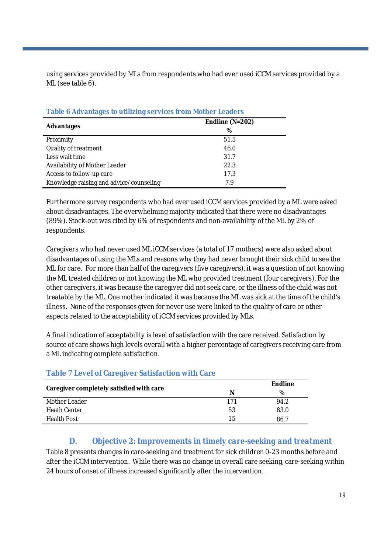using services provided by MLs from respondents who had ever used iCCM services provided by a ML (see table 6).

| $\sim$ 0.000 $\sim$ 0.000 $\sim$ 0.000 $\sim$ 0.000 $\sim$ 0.000 $\sim$ 0.000 $\sim$ 0.000 $\sim$ 0.000 $\sim$ |                     |  |  |
|----------------------------------------------------------------------------------------------------------------|---------------------|--|--|
|                                                                                                                | Endline ( $N=202$ ) |  |  |
| Advantages                                                                                                     | %                   |  |  |
| Proximity                                                                                                      | 51.5                |  |  |
| Quality of treatment                                                                                           | 46.0                |  |  |
| Less wait time                                                                                                 | 31.7                |  |  |
| Availability of Mother Leader                                                                                  | 22.3                |  |  |
| Access to follow-up care                                                                                       | 17.3                |  |  |
| Knowledge raising and advice/counseling                                                                        | 7.9                 |  |  |

**Table 6 Advantages to utilizing services from Mother Leaders**

Furthermore survey respondents who had ever used iCCM services provided by a ML were asked about disadvantages. The overwhelming majority indicated that there were no disadvantages (89%). Stock-out was cited by 6% of respondents and non-availability of the ML by 2% of respondents.

Caregivers who had never used ML iCCM services (a total of 17 mothers) were also asked about disadvantages of using the MLs and reasons why they had never brought their sick child to see the ML for care. For more than half of the caregivers (five caregivers), it was a question of not knowing the ML treated children or not knowing the ML who provided treatment (four caregivers). For the other caregivers, it was because the caregiver did not seek care, or the illness of the child was not treatable by the ML. One mother indicated it was because the ML was sick at the time of the child's illness. None of the responses given for never use were linked to the quality of care or other aspects related to the acceptability of iCCM services provided by MLs.

A final indication of acceptability is level of satisfaction with the care received. Satisfaction by source of care shows high levels overall with a higher percentage of caregivers receiving care from a ML indicating complete satisfaction.

|                                          |     | <b>Endline</b> |
|------------------------------------------|-----|----------------|
| Caregiver completely satisfied with care | N   | %              |
| Mother Leader                            | 171 | 94.2           |
| <b>Heath Center</b>                      | 53  | 83.0           |
| Health Post                              | 15  | 86.7           |

#### **Table 7 Level of Caregiver Satisfaction with Care**

#### *D. Objective 2: Improvements in timely care-seeking and treatment*

Table 8 presents changes in care-seeking and treatment for sick children 0-23 months before and after the iCCM intervention. While there was no change in overall care seeking, care-seeking within 24 hours of onset of illness increased significantly after the intervention.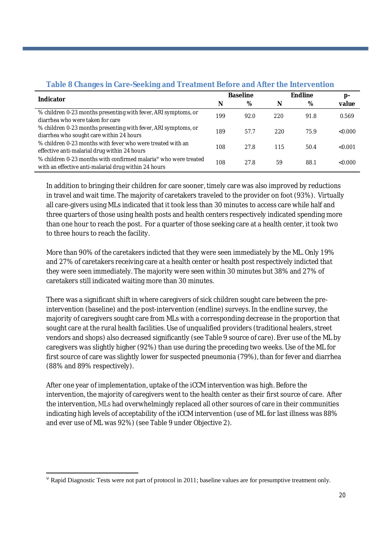| <b>TWARD OF STRING OF DUTING OF STRING IN SERVICE IN A STRING INTO THE CONTRIGHT</b> |                 |      |                |      |         |  |
|--------------------------------------------------------------------------------------|-----------------|------|----------------|------|---------|--|
| Indicator                                                                            | <b>Baseline</b> |      | <b>Endline</b> |      | p-      |  |
|                                                                                      | N               | %    | N              | %    | value   |  |
| % children 0-23 months presenting with fever, ARI symptoms, or                       | 199             | 92.0 | 220            | 91.8 | 0.569   |  |
| diarrhea who were taken for care                                                     |                 |      |                |      |         |  |
| % children 0-23 months presenting with fever, ARI symptoms, or                       | 189             | 57.7 | 220            | 75.9 | <0.000  |  |
| diarrhea who sought care within 24 hours                                             |                 |      |                |      |         |  |
| % children 0-23 months with fever who were treated with an                           | 108             | 27.8 | 115            | 50.4 | < 0.001 |  |
| effective anti-malarial drug within 24 hours                                         |                 |      |                |      |         |  |
| % children 0-23 months with confirmed malaria <sup>y</sup> who were treated          | 108             | 27.8 | 59             | 88.1 | <0.000  |  |
| with an effective anti-malarial drug within 24 hours                                 |                 |      |                |      |         |  |

#### **Table 8 Changes in Care-Seeking and Treatment Before and After the Intervention**

In addition to bringing their children for care sooner, timely care was also improved by reductions in travel and wait time. The majority of caretakers traveled to the provider on foot (93%). Virtually all care-givers using MLs indicated that it took less than 30 minutes to access care while half and three quarters of those using health posts and health centers respectively indicated spending more than one hour to reach the post. For a quarter of those seeking care at a health center, it took two to three hours to reach the facility.

More than 90% of the caretakers indicted that they were seen immediately by the ML. Only 19% and 27% of caretakers receiving care at a health center or health post respectively indicted that they were seen immediately. The majority were seen within 30 minutes but 38% and 27% of caretakers still indicated waiting more than 30 minutes.

There was a significant shift in where caregivers of sick children sought care between the preintervention (baseline) and the post-intervention (endline) surveys. In the endline survey, the majority of caregivers sought care from MLs with a corresponding decrease in the proportion that sought care at the rural health facilities. Use of unqualified providers (traditional healers, street vendors and shops) also decreased significantly (see Table 9 source of care). Ever use of the ML by caregivers was slightly higher (92%) than use during the preceding two weeks. Use of the ML for first source of care was slightly lower for suspected pneumonia (79%), than for fever and diarrhea (88% and 89% respectively).

After one year of implementation, uptake of the iCCM intervention was high. Before the intervention, the majority of caregivers went to the health center as their first source of care. After the intervention, MLs had overwhelmingly replaced all other sources of care in their communities indicating high levels of acceptability of the iCCM intervention (use of ML for last illness was 88% and ever use of ML was 92%) (see Table 9 under Objective 2).

Rapid Diagnostic Tests were not part of protocol in 2011; baseline values are for presumptive treatment only.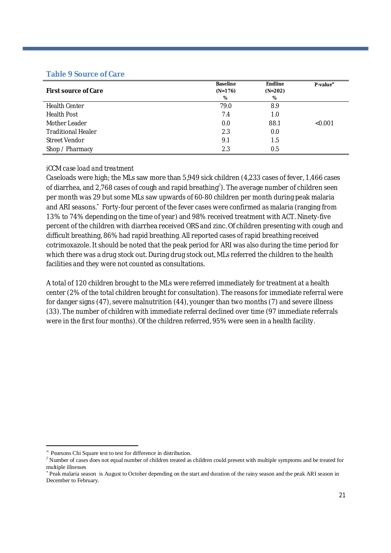#### **Table 9 Source of Care**

| <b>First source of Care</b> | <b>Baseline</b><br>$(N=176)$ | <b>Endline</b><br>$(N=202)$ | P-value <sup>®</sup> |
|-----------------------------|------------------------------|-----------------------------|----------------------|
|                             | %                            | %                           |                      |
| <b>Health Center</b>        | 79.0                         | 8.9                         |                      |
| <b>Health Post</b>          | 7.4                          | 1.0                         |                      |
| Mother Leader               | 0.0                          | 88.1                        | < 0.001              |
| <b>Traditional Healer</b>   | 2.3                          | 0.0                         |                      |
| Street Vendor               | 9.1                          | 1.5                         |                      |
| Shop / Pharmacy             | 2.3                          | 0.5                         |                      |

#### *iCCM case load and treatment*

Caseloads were high; the MLs saw more than 5,949 sick children (4,233 cases of fever, 1,466 cases of diarrhea, and 2,768 cases of cough and rapid breathing $^{\hat{o}}$ ). The average number of children seen per month was 29 but some MLs saw upwards of 60-80 children per month during peak malaria and ARI seasons.\* Forty-four percent of the fever cases were confirmed as malaria (ranging from 13% to 74% depending on the time of year) and 98% received treatment with ACT. Ninety-five percent of the children with diarrhea received ORS and zinc. Of children presenting with cough and difficult breathing, 86% had rapid breathing. All reported cases of rapid breathing received cotrimoxazole. It should be noted that the peak period for ARI was also during the time period for which there was a drug stock out. During drug stock out, MLs referred the children to the health facilities and they were not counted as consultations.

A total of 120 children brought to the MLs were referred immediately for treatment at a health center (2% of the total children brought for consultation). The reasons for immediate referral were for danger signs (47), severe malnutrition (44), younger than two months (7) and severe illness (33). The number of children with immediate referral declined over time (97 immediate referrals were in the first four months). Of the children referred, 95% were seen in a health facility.

Pearsons Chi Square test to test for difference in distribution.

 $\partial$  Number of cases does not equal number of children treated as children could present with multiple symptoms and be treated for multiple illnesses

<sup>\*</sup> Peak malaria season is August to October depending on the start and duration of the rainy season and the peak ARI season in December to February.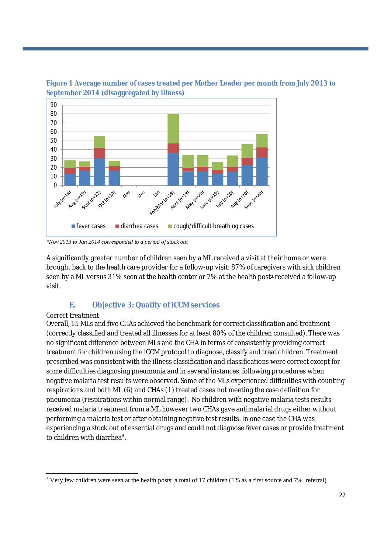



*\*Nov 2013 to Jan 2014 corresponded to a period of stock out*

A significantly greater number of children seen by a ML received a visit at their home or were brought back to the health care provider for a follow-up visit: 87% of caregivers with sick children seen by a ML versus 31% seen at the health center or 7% at the health post± received a follow-up visit.

#### **E. Objective 3: Quality of iCCM services**

#### *Correct treatment*

Overall, 15 MLs and five CHAs achieved the benchmark for correct classification and treatment (correctly classified and treated all illnesses for at least 80% of the children consulted). There was no significant difference between MLs and the CHA in terms of consistently providing correct treatment for children using the iCCM protocol to diagnose, classify and treat children. Treatment prescribed was consistent with the illness classification and classifications were correct except for some difficulties diagnosing pneumonia and in several instances, following procedures when negative malaria test results were observed. Some of the MLs experienced difficulties with counting respirations and both ML (6) and CHAs (1) treated cases not meeting the case definition for pneumonia (respirations within normal range). No children with negative malaria tests results received malaria treatment from a ML however two CHAs gave antimalarial drugs either without performing a malaria test or after obtaining negative test results. In one case the CHA was experiencing a stock out of essential drugs and could not diagnose fever cases or provide treatment to children with diarrhea $^{\rm e}$ .

  $\pm$  Very few children were seen at the health posts: a total of 17 children (1% as a first source and 7% referral)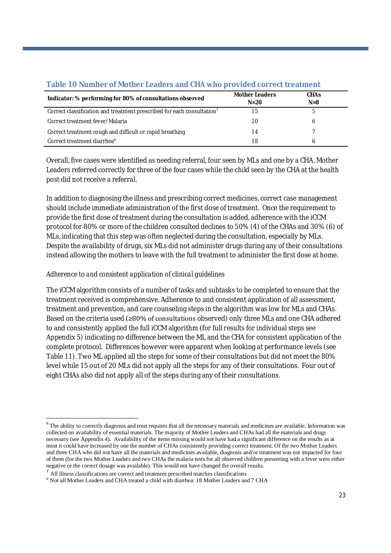|                                                                                    | <b>Mother Leaders</b> | <b>CHAs</b> |  |
|------------------------------------------------------------------------------------|-----------------------|-------------|--|
| Indicator: % performing for 80% of consultations observed                          | $N=20$                | $N = 8$     |  |
| Correct classification and treatment prescribed for each consultation <sup>r</sup> | 15                    |             |  |
| Correct treatment fever/Malaria                                                    | 20                    | b           |  |
| Correct treatment cough and difficult or rapid breathing                           | 14                    |             |  |
| Correct treatment diarrhea <sup>®</sup>                                            | 18                    |             |  |

#### **Table 10 Number of Mother Leaders and CHA who provided correct treatment**

Overall, five cases were identified as needing referral, four seen by MLs and one by a CHA. Mother Leaders referred correctly for three of the four cases while the child seen by the CHA at the health post did not receive a referral.

In addition to diagnosing the illness and prescribing correct medicines, correct case management should include immediate administration of the first dose of treatment. Once the requirement to provide the first dose of treatment during the consultation is added, adherence with the iCCM protocol for 80% or more of the children consulted declines to 50% (4) of the CHAs and 30% (6) of MLs, indicating that this step was often neglected during the consultation, especially by MLs. Despite the availability of drugs, six MLs did not administer drugs during any of their consultations instead allowing the mothers to leave with the full treatment to administer the first dose at home.

#### *Adherence to and consistent application of clinical guidelines*

The iCCM algorithm consists of a number of tasks and subtasks to be completed to ensure that the treatment received is comprehensive. Adherence to and consistent application of all assessment, treatment and prevention, and care counseling steps in the algorithm was low for MLs and CHAs. Based on the criteria used (≥80% of consultations observed) only three MLs and one CHA adhered to and consistently applied the full iCCM algorithm (for full results for individual steps see Appendix 5) indicating no difference between the ML and the CHA for consistent application of the complete protocol. Differences however were apparent when looking at performance levels (see Table 11). Two ML applied all the steps for some of their consultations but did not meet the 80% level while 15 out of 20 MLs did not apply all the steps for any of their consultations. Four out of eight CHAs also did not apply all of the steps during any of their consultations.

 $^{\theta}$  The ability to correctly diagnosis and treat requires that all the necessary materials and medicines are available. Information was collected on availability of essential materials. The majority of Mother Leaders and CHAs had all the materials and drugs necessary (see Appendix 4). Availability of the items missing would not have had a significant difference on the results as at most it could have increased by one the number of CHAs consistently providing correct treatment. Of the two Mother Leaders and three CHA who did not have all the materials and medicines available, diagnosis and/or treatment was not impacted for four of them (for the two Mother Leaders and two CHAs the malaria tests for all observed children presenting with a fever were either negative or the correct dosage was available). This would not have changed the overall results.

 $\Gamma$  All illness classifications are correct and treatment prescribed matches classifications

Not all Mother Leaders and CHA treated a child with diarrhea: 18 Mother Leaders and 7 CHA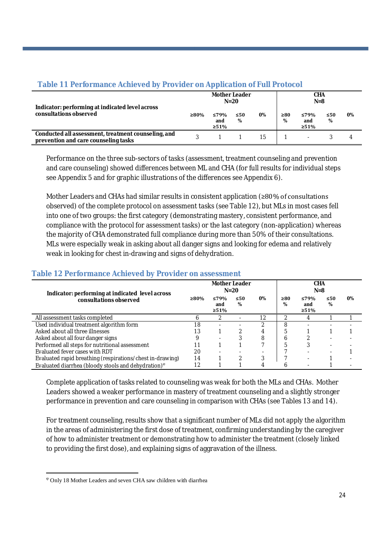|                                                                                             |         | <b>Mother Leader</b>       | $N=20$   |    |                | <b>CHA</b><br>$N=8$        |                |    |
|---------------------------------------------------------------------------------------------|---------|----------------------------|----------|----|----------------|----------------------------|----------------|----|
| Indicator: performing at indicated level across<br>consultations observed                   | $>80\%$ | ≤79%<br>and<br>$\geq 51\%$ | ≤50<br>% | 0% | $\geq 80$<br>% | ≤79%<br>and<br>$\geq 51\%$ | $\leq 50$<br>% | 0% |
| Conducted all assessment, treatment counseling, and<br>prevention and care counseling tasks |         |                            |          | 15 |                |                            |                |    |

#### **Table 11 Performance Achieved by Provider on Application of Full Protocol**

Performance on the three sub-sectors of tasks (assessment, treatment counseling and prevention and care counseling) showed differences between ML and CHA (for full results for individual steps see Appendix 5 and for graphic illustrations of the differences see Appendix 6).

Mother Leaders and CHAs had similar results in consistent application (≥80% of consultations observed) of the complete protocol on assessment tasks (see Table 12), but MLs in most cases fell into one of two groups: the first category (demonstrating mastery, consistent performance, and compliance with the protocol for assessment tasks) or the last category (non-application) whereas the majority of CHA demonstrated full compliance during more than 50% of their consultations. MLs were especially weak in asking about all danger signs and looking for edema and relatively weak in looking for chest in-drawing and signs of dehydration.

#### **Indicator: performing at indicated level across consultations observed Mother Leader N=20 CHA N=8 ≥80% ≤79% and ≥51% ≤50 % 0% ≥80 % ≤79% and ≥51% ≤50 % 0%** All assessment tasks completed  $\begin{array}{cccc} 6 & 2 & - & 12 & 2 & 4 & 1 & 1 \end{array}$ Used individual treatment algorithm form 18 - - 2 8 Asked about all three illnesses and the set of the set of the set of the set of the set of the set of the set of the set of the set of the set of the set of the set of the set of the set of the set of the set of the set of Asked about all four danger signs and the set of the set of the set of the set of the set of the set of the set of the set of the set of the set of the set of the set of the set of the set of the set of the set of the set Performed all steps for nutritional assessment 11 1 1 7 5 3<br>
Fyaluated fever cases with RDT 20 - - - 7 Evaluated fever cases with RDT <br>
Evaluated rapid breathing (respirations/chest in-drawing)  $\begin{array}{ccc} 20 & - & - & - \\ 14 & 1 & 2 & 3 \end{array}$  7 - 1 -Evaluated rapid breathing (respirations/chest in-drawing) 14 1 2 3 7 - 1 -Evaluated diarrhea (bloody stools and dehydration)  $\frac{12}{12}$  1 1 4 6 - 1

#### **Table 12 Performance Achieved by Provider on assessment**

Complete application of tasks related to counseling was weak for both the MLs and CHAs. Mother Leaders showed a weaker performance in mastery of treatment counseling and a slightly stronger performance in prevention and care counseling in comparison with CHAs (see Tables 13 and 14).

For treatment counseling, results show that a significant number of MLs did not apply the algorithm in the areas of administering the first dose of treatment, confirming understanding by the caregiver of how to administer treatment or demonstrating how to administer the treatment (closely linked to providing the first dose), and explaining signs of aggravation of the illness.

 $\degree$  Only 18 Mother Leaders and seven CHA saw children with diarrhea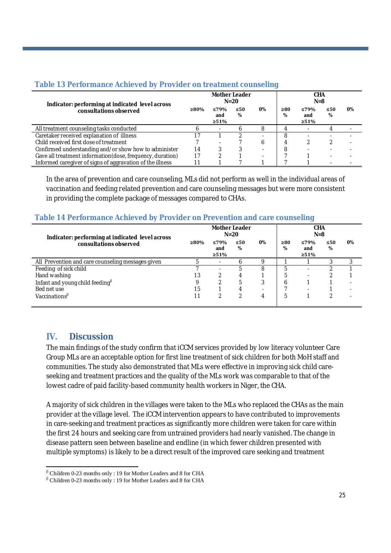| Table 13 Performance Achieved by Provider on treatment counseling |  |  |
|-------------------------------------------------------------------|--|--|
|                                                                   |  |  |

| Indicator: performing at indicated level across            |      | <b>Mother Leader</b>       | $N=20$         |    |                | <b>CHA</b><br>$N=8$        |                |    |
|------------------------------------------------------------|------|----------------------------|----------------|----|----------------|----------------------------|----------------|----|
| consultations observed                                     | ≥80% | ≤79%<br>and<br>$\geq 51\%$ | $\leq 50$<br>% | 0% | $\geq 80$<br>% | ≤79%<br>and<br>$\geq 51\%$ | $\leq 50$<br>% | 0% |
| All treatment counseling tasks conducted                   |      |                            |                | 8  |                |                            |                |    |
| Caretaker received explanation of illness                  |      |                            |                |    | 8              |                            |                |    |
| Child received first dose of treatment                     |      |                            |                | b  |                |                            |                |    |
| Confirmed understanding and/or show how to administer      | 14   |                            |                |    | 8              |                            |                |    |
| Gave all treatment information (dose, frequency, duration) | 17   |                            |                |    |                |                            |                |    |
| Informed caregiver of signs of aggravation of the illness  |      |                            |                |    |                |                            |                |    |

In the area of prevention and care counseling, MLs did not perform as well in the individual areas of vaccination and feeding related prevention and care counseling messages but were more consistent in providing the complete package of messages compared to CHAs.

#### **Table 14 Performance Achieved by Provider on Prevention and care counseling**

| Indicator: performing at indicated level across   |      | <b>Mother Leader</b>       | $N=20$         |    |                | <b>CHA</b><br>$N=8$ |                |    |
|---------------------------------------------------|------|----------------------------|----------------|----|----------------|---------------------|----------------|----|
| consultations observed                            | ≥80% | ≤79%<br>and<br>$\geq 51\%$ | $\leq 50$<br>% | 0% | $\geq 80$<br>% | ≤79%<br>and<br>≥51% | $\leq 50$<br>% | 0% |
| All Prevention and care counseling messages given |      | $\overline{\phantom{a}}$   | n              | Q  |                |                     |                |    |
| Feeding of sick child                             |      | ۰                          |                | 8  | 5              | ۰                   |                |    |
| Hand washing                                      | 13   |                            | 4              |    | 5              | ۰                   |                |    |
| Infant and young child feeding <sup>B</sup>       |      |                            | 5              |    | b              |                     |                |    |
| Bed net use                                       | 15   |                            |                |    |                |                     |                |    |
| Vaccinations <sup>β</sup>                         |      |                            |                | 4  | 5              |                     |                |    |

### **IV. Discussion**

The main findings of the study confirm that iCCM services provided by low literacy volunteer Care Group MLs are an acceptable option for first line treatment of sick children for both MoH staff and communities. The study also demonstrated that MLs were effective in improving sick child careseeking and treatment practices and the quality of the MLs work was comparable to that of the lowest cadre of paid facility-based community health workers in Niger, the CHA.

A majority of sick children in the villages were taken to the MLs who replaced the CHAs as the main provider at the village level. The iCCM intervention appears to have contributed to improvements in care-seeking and treatment practices as significantly more children were taken for care within the first 24 hours and seeking care from untrained providers had nearly vanished. The change in disease pattern seen between baseline and endline (in which fewer children presented with multiple symptoms) is likely to be a direct result of the improved care seeking and treatment

 $\beta$  Children 0-23 months only : 19 for Mother Leaders and 8 for CHA

 $\rm ^{\beta}$  Children 0-23 months only : 19 for Mother Leaders and 8 for CHA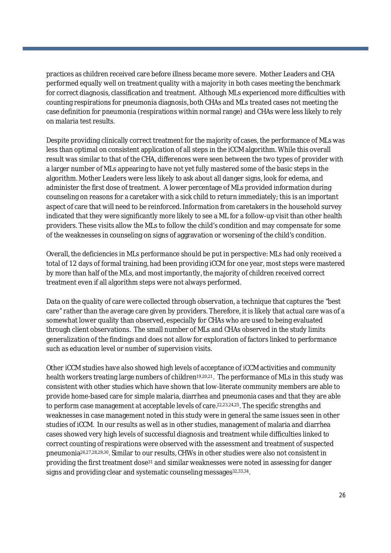practices as children received care before illness became more severe. Mother Leaders and CHA performed equally well on treatment quality with a majority in both cases meeting the benchmark for correct diagnosis, classification and treatment. Although MLs experienced more difficulties with counting respirations for pneumonia diagnosis, both CHAs and MLs treated cases not meeting the case definition for pneumonia (respirations within normal range) and CHAs were less likely to rely on malaria test results.

Despite providing clinically correct treatment for the majority of cases, the performance of MLs was less than optimal on consistent application of all steps in the iCCM algorithm. While this overall result was similar to that of the CHA, differences were seen between the two types of provider with a larger number of MLs appearing to have not yet fully mastered some of the basic steps in the algorithm. Mother Leaders were less likely to ask about all danger signs, look for edema, and administer the first dose of treatment. A lower percentage of MLs provided information during counseling on reasons for a caretaker with a sick child to return immediately; this is an important aspect of care that will need to be reinforced. Information from caretakers in the household survey indicated that they were significantly more likely to see a ML for a follow-up visit than other health providers. These visits allow the MLs to follow the child's condition and may compensate for some of the weaknesses in counseling on signs of aggravation or worsening of the child's condition.

Overall, the deficiencies in MLs performance should be put in perspective: MLs had only received a total of 12 days of formal training, had been providing iCCM for one year, most steps were mastered by more than half of the MLs, and most importantly, the majority of children received correct treatment even if all algorithm steps were not always performed.

Data on the quality of care were collected through observation, a technique that captures the "best care" rather than the average care given by providers. Therefore, it is likely that actual care was of a somewhat lower quality than observed, especially for CHAs who are used to being evaluated through client observations. The small number of MLs and CHAs observed in the study limits generalization of the findings and does not allow for exploration of factors linked to performance such as education level or number of supervision visits.

Other iCCM studies have also showed high levels of acceptance of iCCM activities and community health workers treating large numbers of children<sup>19,20,21</sup>. The performance of MLs in this study was consistent with other studies which have shown that low-literate community members are able to provide home-based care for simple malaria, diarrhea and pneumonia cases and that they are able to perform case management at acceptable levels of care.<sup>22,23,24,25</sup>. The specific strengths and weaknesses in case management noted in this study were in general the same issues seen in other studies of iCCM. In our results as well as in other studies, management of malaria and diarrhea cases showed very high levels of successful diagnosis and treatment while difficulties linked to correct counting of respirations were observed with the assessment and treatment of suspected pneumonia26,27,28,29,30. Similar to our results, CHWs in other studies were also not consistent in providing the first treatment dose<sup>31</sup> and similar weaknesses were noted in assessing for danger signs and providing clear and systematic counseling messages 32,33,34.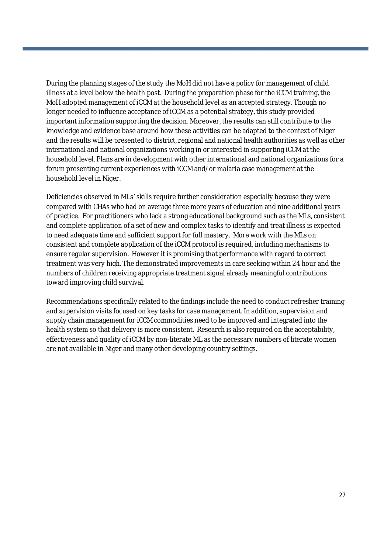During the planning stages of the study the MoH did not have a policy for management of child illness at a level below the health post. During the preparation phase for the iCCM training, the MoH adopted management of iCCM at the household level as an accepted strategy. Though no longer needed to influence acceptance of iCCM as a potential strategy, this study provided important information supporting the decision. Moreover, the results can still contribute to the knowledge and evidence base around how these activities can be adapted to the context of Niger and the results will be presented to district, regional and national health authorities as well as other international and national organizations working in or interested in supporting iCCM at the household level. Plans are in development with other international and national organizations for a forum presenting current experiences with iCCM and/or malaria case management at the household level in Niger.

Deficiencies observed in MLs' skills require further consideration especially because they were compared with CHAs who had on average three more years of education and nine additional years of practice. For practitioners who lack a strong educational background such as the MLs, consistent and complete application of a set of new and complex tasks to identify and treat illness is expected to need adequate time and sufficient support for full mastery. More work with the MLs on consistent and complete application of the iCCM protocol is required, including mechanisms to ensure regular supervision. However it is promising that performance with regard to correct treatment was very high. The demonstrated improvements in care seeking within 24 hour and the numbers of children receiving appropriate treatment signal already meaningful contributions toward improving child survival.

Recommendations specifically related to the findings include the need to conduct refresher training and supervision visits focused on key tasks for case management. In addition, supervision and supply chain management for iCCM commodities need to be improved and integrated into the health system so that delivery is more consistent. Research is also required on the acceptability, effectiveness and quality of iCCM by non-literate ML as the necessary numbers of literate women are not available in Niger and many other developing country settings.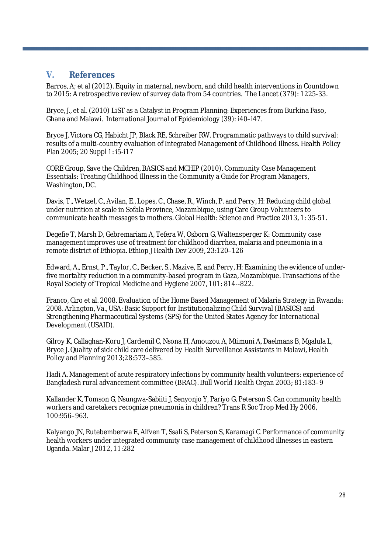#### **V. References**

Barros, A; et al (2012). Equity in maternal, newborn, and child health interventions in Countdown to 2015: A retrospective review of survey data from 54 countries. The Lancet (379): 1225-33.

Bryce, J., et al. (2010) LiST as a Catalyst in Program Planning: Experiences from Burkina Faso, Ghana and Malawi. International Journal of Epidemiology (39): i40–i47.

Bryce J, Victora CG, Habicht JP, Black RE, Schreiber RW. Programmatic pathways to child survival: results of a multi-country evaluation of Integrated Management of Childhood Illness. Health Policy Plan 2005; 20 Suppl 1: i5-i17

CORE Group, Save the Children, BASICS and MCHIP (2010). Community Case Management Essentials: Treating Childhood Illness in the Community a Guide for Program Managers, Washington, DC.

Davis, T., Wetzel, C., Avilan, E., Lopes, C., Chase, R., Winch, P. and Perry, H: Reducing child global under nutrition at scale in Sofala Province, Mozambique, using Care Group Volunteers to communicate health messages to mothers. Global Health: Science and Practice 2013, 1: 35-51.

Degefie T, Marsh D, Gebremariam A, Tefera W, Osborn G, Waltensperger K: Community case management improves use of treatment for childhood diarrhea, malaria and pneumonia in a remote district of Ethiopia. Ethiop J Health Dev 2009, 23:120–126

Edward, A., Ernst, P., Taylor, C., Becker, S., Mazive, E. and Perry, H: Examining the evidence of underfive mortality reduction in a community-based program in Gaza, Mozambique. Transactions of the Royal Society of Tropical Medicine and Hygiene 2007, 101: 814--822.

Franco, Ciro et al. 2008. Evaluation of the Home Based Management of Malaria Strategy in Rwanda: 2008. Arlington, Va., USA: Basic Support for Institutionalizing Child Survival (BASICS) and Strengthening Pharmaceutical Systems (SPS) for the United States Agency for International Development (USAID).

Gilroy K, Callaghan-Koru J, Cardemil C, Nsona H, Amouzou A, Mtimuni A, Daelmans B, Mgalula L, Bryce J. Quality of sick child care delivered by Health Surveillance Assistants in Malawi, Health Policy and Planning 2013;28:573–585.

Hadi A. Management of acute respiratory infections by community health volunteers: experience of Bangladesh rural advancement committee (BRAC). Bull World Health Organ 2003; 81:183–9

Kallander K, Tomson G, Nsungwa-Sabiiti J, Senyonjo Y, Pariyo G, Peterson S. Can community health workers and caretakers recognize pneumonia in children? Trans R Soc Trop Med Hy 2006, 100:956–963.

Kalyango JN, Rutebemberwa E, Alfven T, Ssali S, Peterson S, Karamagi C. Performance of community health workers under integrated community case management of childhood illnesses in eastern Uganda. Malar J 2012, 11:282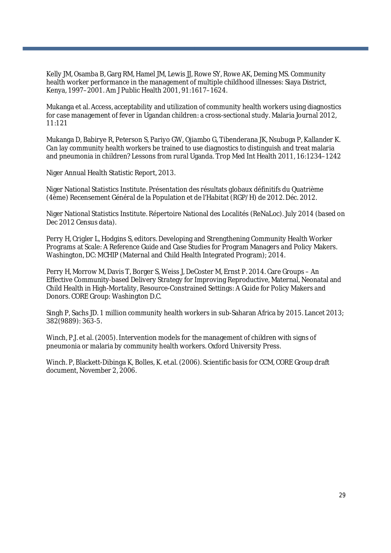Kelly JM, Osamba B, Garg RM, Hamel JM, Lewis JJ, Rowe SY, Rowe AK, Deming MS. Community health worker performance in the management of multiple childhood illnesses: Siaya District, Kenya, 1997–2001. Am J Public Health 2001, 91:1617–1624.

Mukanga et al. Access, acceptability and utilization of community health workers using diagnostics for case management of fever in Ugandan children: a cross-sectional study. Malaria Journal 2012, 11:121

Mukanga D, Babirye R, Peterson S, Pariyo GW, Ojiambo G, Tibenderana JK, Nsubuga P, Kallander K. Can lay community health workers be trained to use diagnostics to distinguish and treat malaria and pneumonia in children? Lessons from rural Uganda. Trop Med Int Health 2011, 16:1234–1242

Niger Annual Health Statistic Report, 2013.

Niger National Statistics Institute. Présentation des résultats globaux définitifs du Quatrième (4ème) Recensement Général de la Population et de l'Habitat (RGP/H) de 2012. Déc. 2012.

Niger National Statistics Institute. Répertoire National des Localités (ReNaLoc). July 2014 (based on Dec 2012 Census data).

Perry H, Crigler L, Hodgins S, editors. Developing and Strengthening Community Health Worker Programs at Scale: A Reference Guide and Case Studies for Program Managers and Policy Makers. Washington, DC: MCHIP (Maternal and Child Health Integrated Program); 2014.

Perry H, Morrow M, Davis T, Borger S, Weiss J, DeCoster M, Ernst P. 2014. Care Groups – An Effective Community-based Delivery Strategy for Improving Reproductive, Maternal, Neonatal and Child Health in High-Mortality, Resource-Constrained Settings: A Guide for Policy Makers and Donors. CORE Group: Washington D.C.

Singh P, Sachs JD. 1 million community health workers in sub-Saharan Africa by 2015. Lancet 2013; 382(9889): 363-5.

Winch, P.J. et al. (2005). Intervention models for the management of children with signs of pneumonia or malaria by community health workers. Oxford University Press.

Winch. P, Blackett-Dibinga K, Bolles, K. et.al. (2006). Scientific basis for CCM, CORE Group draft document, November 2, 2006.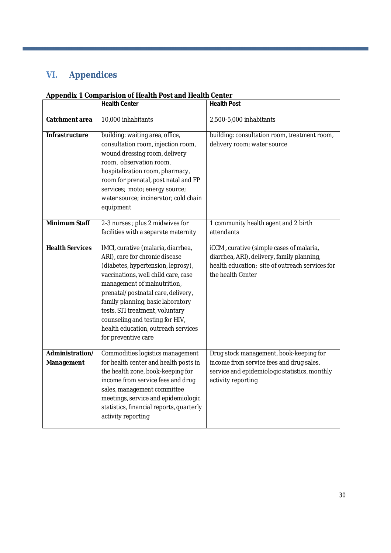## **VI. Appendices**

#### **Appendix 1 Comparision of Health Post and Health Center**

|                               | <b>Health Center</b>                                                                                                                                                                                                                                                                                                                                                                            | <b>Health Post</b>                                                                                                                                             |
|-------------------------------|-------------------------------------------------------------------------------------------------------------------------------------------------------------------------------------------------------------------------------------------------------------------------------------------------------------------------------------------------------------------------------------------------|----------------------------------------------------------------------------------------------------------------------------------------------------------------|
| Catchment area                | 10,000 inhabitants                                                                                                                                                                                                                                                                                                                                                                              | 2,500-5,000 inhabitants                                                                                                                                        |
| Infrastructure                | building: waiting area, office,<br>consultation room, injection room,<br>wound dressing room, delivery<br>room, observation room,<br>hospitalization room, pharmacy,<br>room for prenatal, post natal and FP<br>services; moto; energy source;<br>water source; incinerator; cold chain<br>equipment                                                                                            | building: consultation room, treatment room,<br>delivery room; water source                                                                                    |
| <b>Minimum Staff</b>          | 2-3 nurses ; plus 2 midwives for<br>facilities with a separate maternity                                                                                                                                                                                                                                                                                                                        | 1 community health agent and 2 birth<br>attendants                                                                                                             |
| <b>Health Services</b>        | IMCI, curative (malaria, diarrhea,<br>ARI), care for chronic disease<br>(diabetes, hypertension, leprosy),<br>vaccinations, well child care, case<br>management of malnutrition,<br>prenatal/postnatal care, delivery,<br>family planning, basic laboratory<br>tests, STI treatment, voluntary<br>counseling and testing for HIV,<br>health education, outreach services<br>for preventive care | iCCM, curative (simple cases of malaria,<br>diarrhea, ARI), delivery, family planning,<br>health education; site of outreach services for<br>the health Center |
| Administration/<br>Management | Commodities logistics management<br>for health center and health posts in<br>the health zone, book-keeping for<br>income from service fees and drug<br>sales, management committee<br>meetings, service and epidemiologic<br>statistics, financial reports, quarterly<br>activity reporting                                                                                                     | Drug stock management, book-keeping for<br>income from service fees and drug sales,<br>service and epidemiologic statistics, monthly<br>activity reporting     |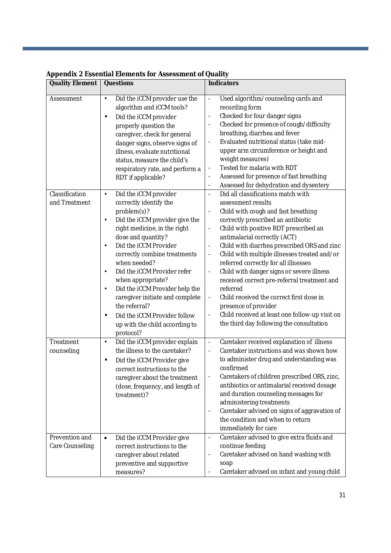| <b>Quality Element</b>                        | <b>Questions</b>                                                                                                                                                                                                                                                                                                                                                                                                                                                | <b>Indicators</b>                                                                                                                                                                                                                                                                                                                                                                                                                                                                                                                                                                                                                                                                                                                                              |
|-----------------------------------------------|-----------------------------------------------------------------------------------------------------------------------------------------------------------------------------------------------------------------------------------------------------------------------------------------------------------------------------------------------------------------------------------------------------------------------------------------------------------------|----------------------------------------------------------------------------------------------------------------------------------------------------------------------------------------------------------------------------------------------------------------------------------------------------------------------------------------------------------------------------------------------------------------------------------------------------------------------------------------------------------------------------------------------------------------------------------------------------------------------------------------------------------------------------------------------------------------------------------------------------------------|
| Assessment<br>Classification<br>and Treatment | Did the iCCM provider use the<br>$\bullet$<br>algorithm and iCCM tools?<br>Did the iCCM provider<br>$\bullet$<br>properly question the<br>caregiver, check for general<br>danger signs, observe signs of<br>illness, evaluate nutritional<br>status, measure the child's<br>respiratory rate, and perform a<br>RDT if applicable?<br>Did the iCCM provider<br>$\bullet$<br>correctly identify the<br>problem(s)?<br>Did the iCCM provider give the<br>$\bullet$ | Used algorithm/counseling cards and<br>$\blacksquare$<br>recording form<br>Checked for four danger signs<br>$\overline{\phantom{a}}$<br>Checked for presence of cough/difficulty<br>breathing, diarrhea and fever<br>Evaluated nutritional status (take mid-<br>$\overline{\phantom{a}}$<br>upper arm circumference or height and<br>weight measures)<br>Tested for malaria with RDT<br>$\overline{\phantom{a}}$<br>Assessed for presence of fast breathing<br>$\overline{\phantom{a}}$<br>Assessed for dehydration and dysentery<br>$\overline{\phantom{a}}$<br>Did all classifications match with<br>$\overline{\phantom{a}}$<br>assessment results<br>Child with cough and fast breathing<br>$\overline{\phantom{a}}$<br>correctly prescribed an antibiotic |
|                                               | right medicine, in the right<br>dose and quantity?<br>Did the iCCM Provider<br>$\bullet$<br>correctly combine treatments<br>when needed?<br>Did the iCCM Provider refer<br>$\bullet$<br>when appropriate?<br>Did the iCCM Provider help the<br>$\bullet$<br>caregiver initiate and complete<br>the referral?<br>Did the iCCM Provider follow<br>$\bullet$<br>up with the child according to<br>protocol?                                                        | Child with positive RDT prescribed an<br>$\blacksquare$<br>antimalarial correctly (ACT)<br>Child with diarrhea prescribed ORS and zinc<br>Child with multiple illnesses treated and/or<br>$\overline{\phantom{a}}$<br>referred correctly for all illnesses<br>Child with danger signs or severe illness<br>$\overline{\phantom{a}}$<br>received correct pre-referral treatment and<br>referred<br>Child received the correct first dose in<br>presence of provider<br>Child received at least one follow-up visit on<br>$\overline{\phantom{a}}$<br>the third day following the consultation                                                                                                                                                                   |
| Treatment<br>counseling                       | Did the iCCM provider explain<br>$\bullet$<br>the illness to the caretaker?<br>Did the iCCM Provider give<br>$\bullet$<br>correct instructions to the<br>caregiver about the treatment<br>(dose, frequency, and length of<br>treatment)?                                                                                                                                                                                                                        | Caretaker received explanation of illness<br>$\overline{\phantom{a}}$<br>Caretaker instructions and was shown how<br>$\Box$<br>to administer drug and understanding was<br>confirmed<br>Caretakers of children prescribed ORS, zinc,<br>antibiotics or antimalarial received dosage<br>and duration counseling messages for<br>administering treatments<br>Caretaker advised on signs of aggravation of<br>the condition and when to return<br>immediately for care                                                                                                                                                                                                                                                                                            |
| Prevention and<br>Care Counseling             | Did the iCCM Provider give<br>$\bullet$<br>correct instructions to the<br>caregiver about related<br>preventive and supportive<br>measures?                                                                                                                                                                                                                                                                                                                     | Caretaker advised to give extra fluids and<br>$\overline{\phantom{a}}$<br>continue feeding<br>Caretaker advised on hand washing with<br>$\overline{\phantom{a}}$<br>soap<br>Caretaker advised on infant and young child<br>$\overline{\phantom{a}}$                                                                                                                                                                                                                                                                                                                                                                                                                                                                                                            |

### **Appendix 2 Essential Elements for Assessment of Quality**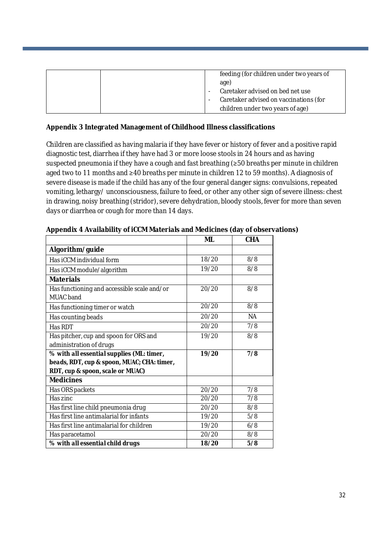| feeding (for children under two years of<br>age)<br>Caretaker advised on bed net use |
|--------------------------------------------------------------------------------------|
| Caretaker advised on vaccinations (for                                               |
| children under two years of age)                                                     |

#### **Appendix 3 Integrated Management of Childhood Illness classifications**

Children are classified as having malaria if they have fever or history of fever and a positive rapid diagnostic test, diarrhea if they have had 3 or more loose stools in 24 hours and as having suspected pneumonia if they have a cough and fast breathing (≥50 breaths per minute in children aged two to 11 months and ≥40 breaths per minute in children 12 to 59 months). A diagnosis of severe disease is made if the child has any of the four general danger signs: convulsions, repeated vomiting, lethargy/ unconsciousness, failure to feed, or other any other sign of severe illness: chest in drawing, noisy breathing (stridor), severe dehydration, bloody stools, fever for more than seven days or diarrhea or cough for more than 14 days.

|                                                                 | <b>ML</b> | <b>CHA</b> |
|-----------------------------------------------------------------|-----------|------------|
| Algorithm/guide                                                 |           |            |
| Has iCCM individual form                                        | 18/20     | 8/8        |
| Has iCCM module/algorithm                                       | 19/20     | 8/8        |
| <b>Materials</b>                                                |           |            |
| Has functioning and accessible scale and/or<br><b>MUAC</b> band | 20/20     | 8/8        |
| Has functioning timer or watch                                  | 20/20     | 8/8        |
| Has counting beads                                              | 20/20     | <b>NA</b>  |
| Has RDT                                                         | 20/20     | 7/8        |
| Has pitcher, cup and spoon for ORS and                          | 19/20     | 8/8        |
| administration of drugs                                         |           |            |
| % with all essential supplies (ML: timer,                       | 19/20     | 7/8        |
| beads, RDT, cup & spoon, MUAC; CHA: timer,                      |           |            |
| RDT, cup & spoon, scale or MUAC)                                |           |            |
| <b>Medicines</b>                                                |           |            |
| Has ORS packets                                                 | 20/20     | 7/8        |
| Has zinc                                                        | 20/20     | 7/8        |
| Has first line child pneumonia drug                             | 20/20     | 8/8        |
| Has first line antimalarial for infants                         | 19/20     | 5/8        |
| Has first line antimalarial for children                        | 19/20     | 6/8        |
| Has paracetamol                                                 | 20/20     | 8/8        |
| % with all essential child drugs                                | 18/20     | 5/8        |

**Appendix 4 Availability of iCCM Materials and Medicines (day of observations)**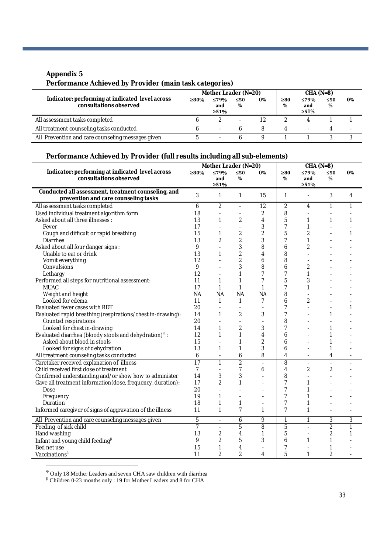#### **Appendix 5**

#### **Performance Achieved by Provider (main task categories)**

| Indicator: performing at indicated level across<br>consultations observed | Mother Leader (N=20) |                            |                |    | $CHA (N=8)$ |                            |                |                          |
|---------------------------------------------------------------------------|----------------------|----------------------------|----------------|----|-------------|----------------------------|----------------|--------------------------|
|                                                                           | ≥80%                 | ≤79%<br>and<br>$\geq 51\%$ | $\leq 50$<br>% | 0% | ≥80<br>%    | ≤79%<br>and<br>$\geq 51\%$ | $\leq 50$<br>% | 0%                       |
| All assessment tasks completed                                            |                      |                            |                | 12 |             |                            |                |                          |
| All treatment counseling tasks conducted                                  |                      | $\overline{\phantom{a}}$   |                | Χ  |             |                            |                | $\overline{\phantom{a}}$ |
| All Prevention and care counseling messages given                         |                      |                            |                |    |             |                            |                |                          |

#### **Performance Achieved by Provider (full results including all sub-elements)**

|                                                                                             | Mother Leader (N=20) |                          |                          |                | $CHA (N=8)$    |                          |                |                |
|---------------------------------------------------------------------------------------------|----------------------|--------------------------|--------------------------|----------------|----------------|--------------------------|----------------|----------------|
| Indicator: performing at indicated level across                                             | ≥80%                 | ≤79%                     | $\leq 50$                | 0%             | ≥80            | ≤79%                     | ≤50            | 0%             |
| consultations observed                                                                      |                      | and                      | %                        |                | %              | and                      | %              |                |
|                                                                                             |                      | $>51\%$                  |                          |                |                | >51%                     |                |                |
| Conducted all assessment, treatment counseling, and<br>prevention and care counseling tasks | 3                    | 1                        | 1                        | 15             | 1              | ä,                       | 3              | 4              |
| All assessment tasks completed                                                              | 6                    | 2                        | ÷,                       | 12             | $\overline{2}$ | 4                        | 1              | 1              |
| Used individual treatment algorithm form                                                    | 18                   | L.                       | $\overline{\phantom{a}}$ | $\overline{2}$ | $\overline{8}$ | $\sim$                   |                |                |
| Asked about all three illnesses :                                                           | 13                   | $\mathbf{1}$             | $\overline{2}$           | 4              | 5              | 1                        | 1              | 1              |
| Fever                                                                                       | 17                   |                          | $\overline{a}$           | 3              | $\overline{7}$ | 1                        |                |                |
| Cough and difficult or rapid breathing                                                      | 15                   | 1                        | $\overline{2}$           | 2              | 5              | $\overline{2}$           |                | 1              |
| Diarrhea                                                                                    | 13                   | 2                        | $\overline{2}$           | 3              | 7              | 1                        |                |                |
| Asked about all four danger signs:                                                          | 9                    |                          | 3                        | 8              | 6              | $\overline{2}$           |                |                |
| Unable to eat or drink                                                                      | 13                   | 1                        | $\overline{2}$           | 4              | 8              | ٠                        |                |                |
| Vomit everything                                                                            | 12                   | $\overline{\phantom{a}}$ | $\overline{2}$           | 6              | 8              |                          |                |                |
| Convulsions                                                                                 | 9                    |                          | 3                        | 8              | 6              | 2                        |                |                |
| Lethargy                                                                                    | 12                   |                          | 1                        | 7              | $\overline{7}$ | 1                        |                |                |
| Performed all steps for nutritional assessment:                                             | 11                   | 1                        | 1                        | 7              | 5              | 3                        |                |                |
| <b>MUAC</b>                                                                                 | 17                   | 1                        | $\mathbf{1}$             | 1              | $\overline{7}$ | $\mathbf{1}$             |                |                |
| Weight and height                                                                           | <b>NA</b>            | <b>NA</b>                | <b>NA</b>                | <b>NA</b>      | 8              |                          |                |                |
| Looked for edema                                                                            | 11                   | 1                        | 1                        | 7              | 6              | $\overline{2}$           |                |                |
| Evaluated fever cases with RDT                                                              | 20                   | L.                       | ÷.                       |                | $\overline{7}$ |                          |                |                |
| Evaluated rapid breathing (respirations/chest in-drawing):                                  | 14                   | 1                        | $\overline{2}$           | 3              | $\overline{7}$ |                          | 1              |                |
| Counted respirations                                                                        | 20                   |                          | ÷,                       |                | 8              |                          |                |                |
| Looked for chest in-drawing                                                                 | 14                   | 1                        | $\overline{2}$           | 3              | 7              |                          |                |                |
| Evaluated diarrhea (bloody stools and dehydration) <sup>®</sup> :                           | 12                   | $\mathbf{1}$             | 1                        | 4              | 6              | ä,                       | 1              |                |
| Asked about blood in stools                                                                 | 15                   | ÷,                       | 1                        | 2              | 6              | ÷.                       | 1              |                |
| Looked for signs of dehydration                                                             | 13                   | 1                        | 1                        | 3              | 6              |                          | 1              |                |
| All treatment counseling tasks conducted                                                    | 6                    | $\frac{1}{2}$            | 6                        | 8              | $\overline{4}$ | $\sim$                   | 4              | $\blacksquare$ |
| Caretaker received explanation of illness                                                   | $\overline{17}$      | $\mathbf{1}$             | $\overline{2}$           |                | 8              | $\overline{\phantom{a}}$ |                |                |
| Child received first dose of treatment                                                      | $\overline{7}$       | ÷,                       | $\overline{7}$           | 6              | 4              | $\overline{2}$           | $\overline{2}$ |                |
| Confirmed understanding and/or show how to administer                                       | 14                   | 3                        | 3                        |                | 8              |                          |                |                |
| Gave all treatment information (dose, frequency, duration):                                 | 17                   | $\overline{2}$           | 1                        |                | $\overline{7}$ | 1                        |                |                |
| Dose                                                                                        | 20                   |                          |                          |                | 7              | 1                        |                |                |
| Frequency                                                                                   | 19                   | 1                        | ÷,                       |                | 7              | 1                        |                |                |
| Duration                                                                                    | 18                   | 1                        | 1                        |                | 7              | $\mathbf{1}$             |                |                |
| Informed caregiver of signs of aggravation of the illness                                   | 11                   | $\mathbf{1}$             | $\overline{7}$           | 1              | $\overline{7}$ | $\mathbf{1}$             |                |                |
| All Prevention and care counseling messages given                                           | 5                    | ÷.                       | 6                        | 9              | 1              | $\mathbf{1}$             | 3              | 3              |
| Feeding of sick child                                                                       | $\overline{7}$       | ÷.                       | 5                        | 8              | 5              | $\overline{\phantom{a}}$ | $\overline{2}$ | 1              |
| Hand washing                                                                                | 13                   | 2                        | $\overline{4}$           | 1              | 5              | $\overline{\phantom{a}}$ | 2              | 1              |
| Infant and young child feeding $\beta$                                                      | 9                    | $\overline{2}$           | 5                        | 3              | 6              | 1                        | 1              |                |
| Bed net use                                                                                 | 15                   | 1                        | $\overline{4}$           |                | 7              |                          |                |                |
| Vaccinations $\beta$                                                                        | 11                   | $\overline{2}$           | $\overline{2}$           | 4              | 5              | $\mathbf{1}$             | $\overline{2}$ |                |

Only 18 Mother Leaders and seven CHA saw children with diarrhea

 $\beta$  Children 0-23 months only : 19 for Mother Leaders and 8 for CHA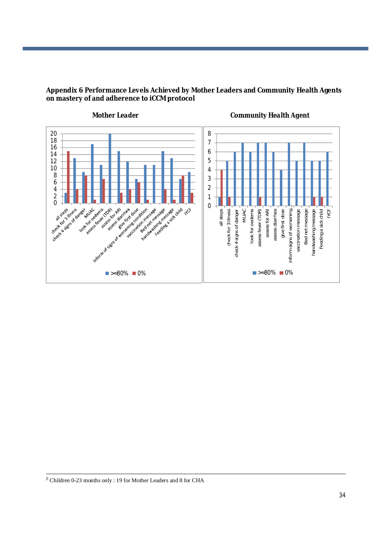

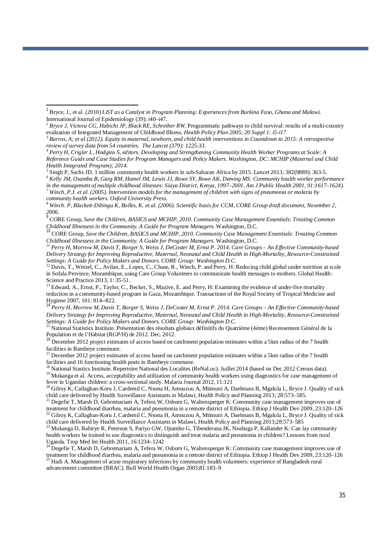*community health workers. Oxford University Press.* 

*<sup>10</sup>* CORE Group*, Save the Children, BASICS and MCHIP, 2010. Community Case Management Essentials: Treating Common Childhood Illnessess in the Community. A Guide for Program Managers.* Washington, D.C.

*<sup>11</sup> Perry H, Morrow M, Davis T, Borger S, Weiss J, DeCoster M, Ernst P. 2014. Care Groups – An Effective Community-based Delivery Strategy for Improving Reproductive, Maternal, Neonatal and Child Health in High-Mortality, Resource-Constrained Settings: A Guide for Policy Makers and Donors. CORE Group: Washington D.C.*

*<sup>12</sup>* Davis, T., Wetzel, C., Avilan, E., Lopes, C., Chase, R., Winch, P. and Perry, H: Reducing child global under nutrition at scale in Sofala Province, Mozambique, using Care Group Volunteers to communicate health messages to mothers. Global Health: Science and Practice 2013, 1: 35-51.

<sup>13</sup> Edward, A., Ernst, P., Taylor, C., Becker, S., Mazive, E. and Perry, H: Examining the evidence of under-five mortality reduction in a community-based program in Gaza, Mozambique. Transactions of the Royal Society of Tropical Medicine and Hygiene 2007, 101: 814--822.

*<sup>14</sup> Perry H, Morrow M, Davis T, Borger S, Weiss J, DeCoster M, Ernst P. 2014. Care Groups – An Effective Community-based Delivery Strategy for Improving Reproductive, Maternal, Neonatal and Child Health in High-Mortality, Resource-Constrained Settings: A Guide for Policy Makers and Donors. CORE Group: Washington D.C.*

*<sup>15</sup>* National Statistics Institute. Présentation des résultats globaux définitifs du Quatrième (4ème) Recensement Général de la Population et de l'Habitat (RGP/H) de 2012. Dec. 2012.

<sup>16</sup> December 2012 project estimates of access based on catchment population estimates within a 5km radius of the 7 health facilities in Bambeye commune.

<sup>17</sup> December 2012 project estimates of access based on catchment population estimates within a 5km radius of the 7 health facilities and 16 functioning health posts in Bambeye commune.

```
<sup>18</sup> National Stastics Institute. Repertoire National des Localites (ReNaLoc). Juillet 2014 (based on Dec 2012 Census data).
```
<sup>19</sup> Mukanga et al. Access, acceptability and utilization of community health workers using diagnostics for case management of fever in Ugandan children: a cross-sectional study. Malaria Journal 2012, 11:121

 $^{20}$  Gilroy K, Callaghan-Koru J, Cardemil C, Nsona H, Amouzou A, Mtimuni A, Daelmans B, Mgalula L, Bryce J. Quality of sick child care delivered by Health Surveillance Assistants in Malawi, Health Policy and Planning 2013; 28:573–585.

 $21$  Degefie T, Marsh D, Gebremariam A, Tefera W, Osborn G, Waltensperger K: Community case management improves use of treatment for childhood diarrhea, malaria and pneumonia in a remote district of Ethiopia. Ethiop J Health Dev 2009, 23:120–126  $^{22}$  Gilroy K, Callaghan-Koru J, Cardemil C, Nsona H, Amouzou A, Mtimuni A, Daelmans B, Mgalula L, Bryce J. Quality of sick

child care delivered by Health Surveillance Assistants in Malawi, Health Policy and Planning 2013;28:573–585 <sup>23</sup> Mukanga D, Babirye R, Peterson S, Pariyo GW, Ojiambo G, Tibenderana JK, Nsubuga P, Kallander K: Can lay community health workers be trained to use diagnostics to distinguish and treat malaria and pneumonia in children? Lessons from rural Uganda. Trop Med Int Health 2011, 16:1234–1242

 $^{24}$  Degefie T, Marsh D, Gebremariam A, Tefera W, Osborn G, Waltensperger K: Community case management improves use of treatment for childhood diarrhea, malaria and pneumonia in a remote district of Ethiopia. Ethiop J Health Dev 2009, 23:120–126 <sup>25</sup> Hadi A. Management of acute respiratory infections by community health volunteers: experience of Bangladesh rural advancement committee (BRAC). Bull World Health Organ 2003;81:183–9

*<sup>1</sup>* Bryce, J., et al. (2010) *LiST as a Catalyst in Program Planning: Experiences from Burkina Faso, Ghana and Malawi.* International Journal of Epidemiology (39): i40–i47.

<sup>&</sup>lt;sup>2</sup> Bryce J, Victora CG, Habicht JP, Black RE, Schreiber RW. Programmatic pathways to child survival: results of a multi-country evaluation of Integrated Management of Childhood Illness*. Health Policy Plan 2005; 20 Suppl 1: i5-i17*

*<sup>3</sup> Barros, A; et al (2012). Equity in maternal, newborn, and child health interventions in Countdown to 2015: A retrospective review of survey data from 54 countries. The Lancet (379): 1225-33.* 

*<sup>4</sup> Perry H, Crigler L, Hodgins S, editors. Developing and Strengthening Community Health Worker Programs at Scale: A Reference Guide and Case Studies for Program Managers and Policy Makers. Washington, DC: MCHIP (Maternal and Child Health Integrated Program); 2014.*

<sup>5</sup> Singh P, Sachs JD. 1 million community health workers in sub-Saharan Africa by 2015. *Lancet* 2013; 382(9889): 363-5.

*<sup>6</sup> Kelly JM, Osamba B, Garg RM, Hamel JM, Lewis JJ, Rowe SY, Rowe AK, Deming MS: Community health worker performance in the management of multiple childhood illnesses: Siaya District, Kenya, 1997–2001. Am J Public Health 2001, 91:1617–1624). <sup>7</sup> Winch, P.J. et al. (2005). Intervention models for the management of children with signs of pneumonia or malaria by* 

*<sup>8</sup> Winch. P, Blackett-Dibinga K, Bolles, K. et.al. (2006). Scientific basis for CCM, CORE Group draft document, November 2, 2006.*

*<sup>9</sup>* CORE Group*, Save the Children, BASICS and MCHIP, 2010. Community Case Management Essentials: Treating Common Childhood Illnessess in the Community. A Guide for Program Managers.* Washington, D.C.